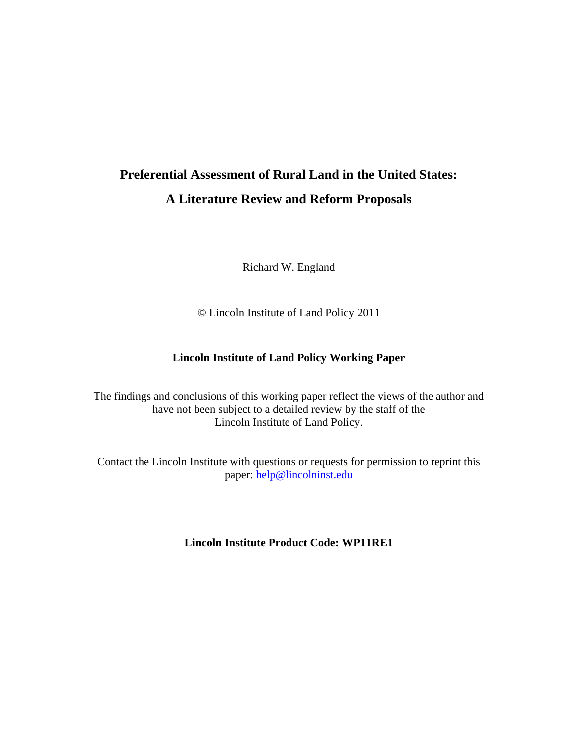# **Preferential Assessment of Rural Land in the United States: A Literature Review and Reform Proposals**

Richard W. England

© Lincoln Institute of Land Policy 2011

#### **Lincoln Institute of Land Policy Working Paper**

The findings and conclusions of this working paper reflect the views of the author and have not been subject to a detailed review by the staff of the Lincoln Institute of Land Policy.

Contact the Lincoln Institute with questions or requests for permission to reprint this paper: help@lincolninst.edu

**Lincoln Institute Product Code: WP11RE1**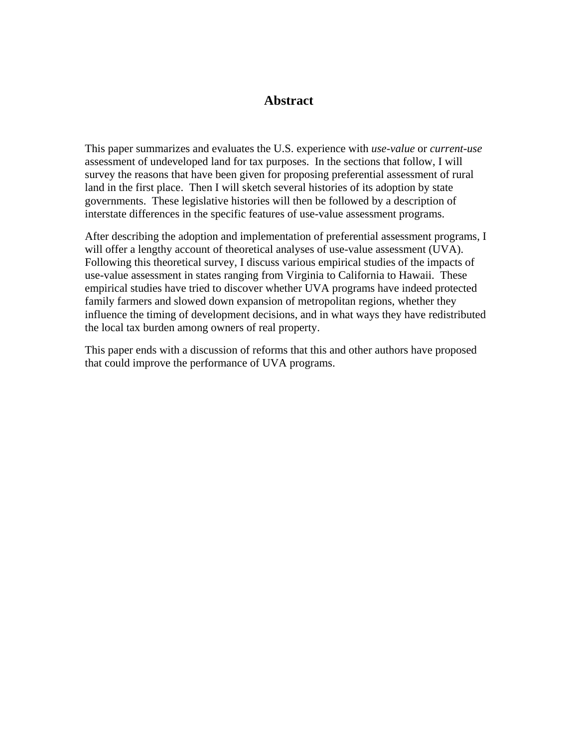#### **Abstract**

This paper summarizes and evaluates the U.S. experience with *use-value* or *current-use* assessment of undeveloped land for tax purposes. In the sections that follow, I will survey the reasons that have been given for proposing preferential assessment of rural land in the first place. Then I will sketch several histories of its adoption by state governments. These legislative histories will then be followed by a description of interstate differences in the specific features of use-value assessment programs.

After describing the adoption and implementation of preferential assessment programs, I will offer a lengthy account of theoretical analyses of use-value assessment (UVA). Following this theoretical survey, I discuss various empirical studies of the impacts of use-value assessment in states ranging from Virginia to California to Hawaii. These empirical studies have tried to discover whether UVA programs have indeed protected family farmers and slowed down expansion of metropolitan regions, whether they influence the timing of development decisions, and in what ways they have redistributed the local tax burden among owners of real property.

This paper ends with a discussion of reforms that this and other authors have proposed that could improve the performance of UVA programs.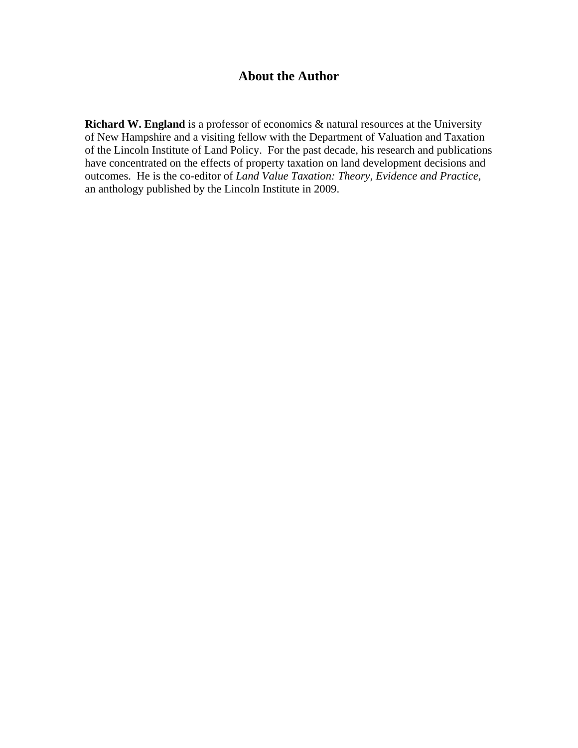# **About the Author**

**Richard W. England** is a professor of economics & natural resources at the University of New Hampshire and a visiting fellow with the Department of Valuation and Taxation of the Lincoln Institute of Land Policy. For the past decade, his research and publications have concentrated on the effects of property taxation on land development decisions and outcomes. He is the co-editor of *Land Value Taxation: Theory, Evidence and Practice*, an anthology published by the Lincoln Institute in 2009.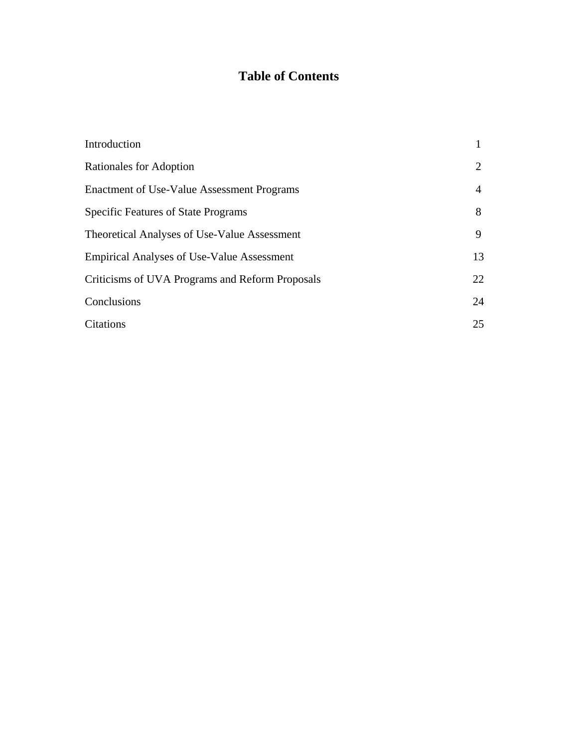# **Table of Contents**

| Introduction                                      |    |
|---------------------------------------------------|----|
| Rationales for Adoption                           |    |
| Enactment of Use-Value Assessment Programs        | 4  |
| <b>Specific Features of State Programs</b>        | 8  |
| Theoretical Analyses of Use-Value Assessment      | 9  |
| <b>Empirical Analyses of Use-Value Assessment</b> | 13 |
| Criticisms of UVA Programs and Reform Proposals   | 22 |
| Conclusions                                       | 24 |
| Citations                                         | 25 |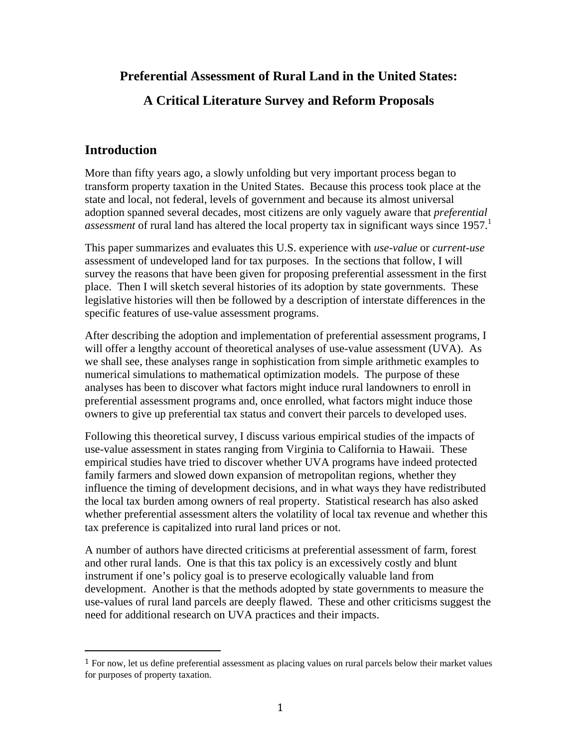# **Preferential Assessment of Rural Land in the United States:**

# **A Critical Literature Survey and Reform Proposals**

# **Introduction**

More than fifty years ago, a slowly unfolding but very important process began to transform property taxation in the United States. Because this process took place at the state and local, not federal, levels of government and because its almost universal adoption spanned several decades, most citizens are only vaguely aware that *preferential assessment* of rural land has altered the local property tax in significant ways since 1957.<sup>1</sup>

This paper summarizes and evaluates this U.S. experience with *use-value* or *current-use* assessment of undeveloped land for tax purposes. In the sections that follow, I will survey the reasons that have been given for proposing preferential assessment in the first place. Then I will sketch several histories of its adoption by state governments. These legislative histories will then be followed by a description of interstate differences in the specific features of use-value assessment programs.

After describing the adoption and implementation of preferential assessment programs, I will offer a lengthy account of theoretical analyses of use-value assessment (UVA). As we shall see, these analyses range in sophistication from simple arithmetic examples to numerical simulations to mathematical optimization models. The purpose of these analyses has been to discover what factors might induce rural landowners to enroll in preferential assessment programs and, once enrolled, what factors might induce those owners to give up preferential tax status and convert their parcels to developed uses.

Following this theoretical survey, I discuss various empirical studies of the impacts of use-value assessment in states ranging from Virginia to California to Hawaii. These empirical studies have tried to discover whether UVA programs have indeed protected family farmers and slowed down expansion of metropolitan regions, whether they influence the timing of development decisions, and in what ways they have redistributed the local tax burden among owners of real property. Statistical research has also asked whether preferential assessment alters the volatility of local tax revenue and whether this tax preference is capitalized into rural land prices or not.

A number of authors have directed criticisms at preferential assessment of farm, forest and other rural lands. One is that this tax policy is an excessively costly and blunt instrument if one's policy goal is to preserve ecologically valuable land from development. Another is that the methods adopted by state governments to measure the use-values of rural land parcels are deeply flawed. These and other criticisms suggest the need for additional research on UVA practices and their impacts.

<sup>1</sup> For now, let us define preferential assessment as placing values on rural parcels below their market values for purposes of property taxation.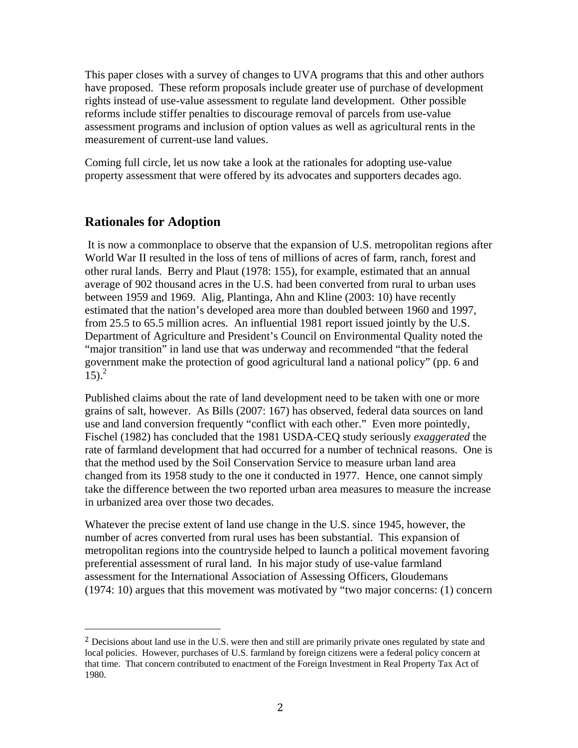This paper closes with a survey of changes to UVA programs that this and other authors have proposed. These reform proposals include greater use of purchase of development rights instead of use-value assessment to regulate land development. Other possible reforms include stiffer penalties to discourage removal of parcels from use-value assessment programs and inclusion of option values as well as agricultural rents in the measurement of current-use land values.

Coming full circle, let us now take a look at the rationales for adopting use-value property assessment that were offered by its advocates and supporters decades ago.

#### **Rationales for Adoption**

 It is now a commonplace to observe that the expansion of U.S. metropolitan regions after World War II resulted in the loss of tens of millions of acres of farm, ranch, forest and other rural lands. Berry and Plaut (1978: 155), for example, estimated that an annual average of 902 thousand acres in the U.S. had been converted from rural to urban uses between 1959 and 1969. Alig, Plantinga, Ahn and Kline (2003: 10) have recently estimated that the nation's developed area more than doubled between 1960 and 1997, from 25.5 to 65.5 million acres. An influential 1981 report issued jointly by the U.S. Department of Agriculture and President's Council on Environmental Quality noted the "major transition" in land use that was underway and recommended "that the federal government make the protection of good agricultural land a national policy" (pp. 6 and  $15)$ .<sup>2</sup>

Published claims about the rate of land development need to be taken with one or more grains of salt, however. As Bills (2007: 167) has observed, federal data sources on land use and land conversion frequently "conflict with each other." Even more pointedly, Fischel (1982) has concluded that the 1981 USDA-CEQ study seriously *exaggerated* the rate of farmland development that had occurred for a number of technical reasons. One is that the method used by the Soil Conservation Service to measure urban land area changed from its 1958 study to the one it conducted in 1977. Hence, one cannot simply take the difference between the two reported urban area measures to measure the increase in urbanized area over those two decades.

Whatever the precise extent of land use change in the U.S. since 1945, however, the number of acres converted from rural uses has been substantial. This expansion of metropolitan regions into the countryside helped to launch a political movement favoring preferential assessment of rural land. In his major study of use-value farmland assessment for the International Association of Assessing Officers, Gloudemans (1974: 10) argues that this movement was motivated by "two major concerns: (1) concern

<sup>&</sup>lt;sup>2</sup> Decisions about land use in the U.S. were then and still are primarily private ones regulated by state and local policies. However, purchases of U.S. farmland by foreign citizens were a federal policy concern at that time. That concern contributed to enactment of the Foreign Investment in Real Property Tax Act of 1980.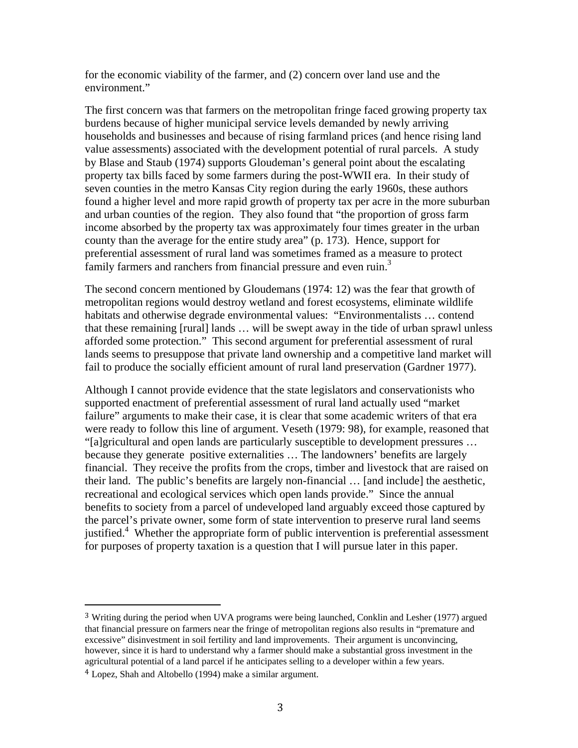for the economic viability of the farmer, and (2) concern over land use and the environment."

The first concern was that farmers on the metropolitan fringe faced growing property tax burdens because of higher municipal service levels demanded by newly arriving households and businesses and because of rising farmland prices (and hence rising land value assessments) associated with the development potential of rural parcels. A study by Blase and Staub (1974) supports Gloudeman's general point about the escalating property tax bills faced by some farmers during the post-WWII era. In their study of seven counties in the metro Kansas City region during the early 1960s, these authors found a higher level and more rapid growth of property tax per acre in the more suburban and urban counties of the region. They also found that "the proportion of gross farm income absorbed by the property tax was approximately four times greater in the urban county than the average for the entire study area" (p. 173). Hence, support for preferential assessment of rural land was sometimes framed as a measure to protect family farmers and ranchers from financial pressure and even ruin.<sup>3</sup>

The second concern mentioned by Gloudemans (1974: 12) was the fear that growth of metropolitan regions would destroy wetland and forest ecosystems, eliminate wildlife habitats and otherwise degrade environmental values: "Environmentalists … contend that these remaining [rural] lands … will be swept away in the tide of urban sprawl unless afforded some protection." This second argument for preferential assessment of rural lands seems to presuppose that private land ownership and a competitive land market will fail to produce the socially efficient amount of rural land preservation (Gardner 1977).

Although I cannot provide evidence that the state legislators and conservationists who supported enactment of preferential assessment of rural land actually used "market failure" arguments to make their case, it is clear that some academic writers of that era were ready to follow this line of argument. Veseth (1979: 98), for example, reasoned that "[a]gricultural and open lands are particularly susceptible to development pressures … because they generate positive externalities … The landowners' benefits are largely financial. They receive the profits from the crops, timber and livestock that are raised on their land. The public's benefits are largely non-financial … [and include] the aesthetic, recreational and ecological services which open lands provide." Since the annual benefits to society from a parcel of undeveloped land arguably exceed those captured by the parcel's private owner, some form of state intervention to preserve rural land seems justified.<sup>4</sup> Whether the appropriate form of public intervention is preferential assessment for purposes of property taxation is a question that I will pursue later in this paper.

<sup>&</sup>lt;sup>3</sup> Writing during the period when UVA programs were being launched, Conklin and Lesher (1977) argued that financial pressure on farmers near the fringe of metropolitan regions also results in "premature and excessive" disinvestment in soil fertility and land improvements. Their argument is unconvincing, however, since it is hard to understand why a farmer should make a substantial gross investment in the agricultural potential of a land parcel if he anticipates selling to a developer within a few years.

<sup>4</sup> Lopez, Shah and Altobello (1994) make a similar argument.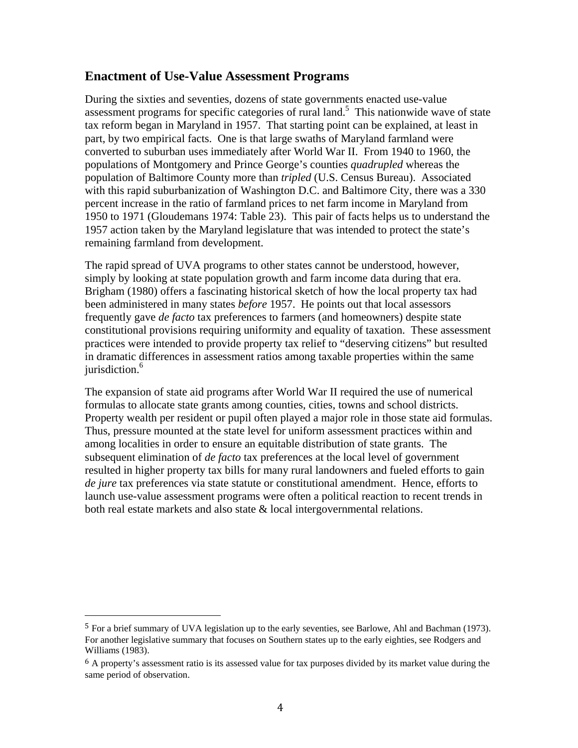#### **Enactment of Use-Value Assessment Programs**

During the sixties and seventies, dozens of state governments enacted use-value assessment programs for specific categories of rural land.<sup>5</sup> This nationwide wave of state tax reform began in Maryland in 1957. That starting point can be explained, at least in part, by two empirical facts. One is that large swaths of Maryland farmland were converted to suburban uses immediately after World War II. From 1940 to 1960, the populations of Montgomery and Prince George's counties *quadrupled* whereas the population of Baltimore County more than *tripled* (U.S. Census Bureau). Associated with this rapid suburbanization of Washington D.C. and Baltimore City, there was a 330 percent increase in the ratio of farmland prices to net farm income in Maryland from 1950 to 1971 (Gloudemans 1974: Table 23). This pair of facts helps us to understand the 1957 action taken by the Maryland legislature that was intended to protect the state's remaining farmland from development.

The rapid spread of UVA programs to other states cannot be understood, however, simply by looking at state population growth and farm income data during that era. Brigham (1980) offers a fascinating historical sketch of how the local property tax had been administered in many states *before* 1957. He points out that local assessors frequently gave *de facto* tax preferences to farmers (and homeowners) despite state constitutional provisions requiring uniformity and equality of taxation. These assessment practices were intended to provide property tax relief to "deserving citizens" but resulted in dramatic differences in assessment ratios among taxable properties within the same jurisdiction.<sup>6</sup>

The expansion of state aid programs after World War II required the use of numerical formulas to allocate state grants among counties, cities, towns and school districts. Property wealth per resident or pupil often played a major role in those state aid formulas. Thus, pressure mounted at the state level for uniform assessment practices within and among localities in order to ensure an equitable distribution of state grants. The subsequent elimination of *de facto* tax preferences at the local level of government resulted in higher property tax bills for many rural landowners and fueled efforts to gain *de jure* tax preferences via state statute or constitutional amendment. Hence, efforts to launch use-value assessment programs were often a political reaction to recent trends in both real estate markets and also state & local intergovernmental relations.

<sup>5</sup> For a brief summary of UVA legislation up to the early seventies, see Barlowe, Ahl and Bachman (1973). For another legislative summary that focuses on Southern states up to the early eighties, see Rodgers and Williams (1983).

<sup>&</sup>lt;sup>6</sup> A property's assessment ratio is its assessed value for tax purposes divided by its market value during the same period of observation.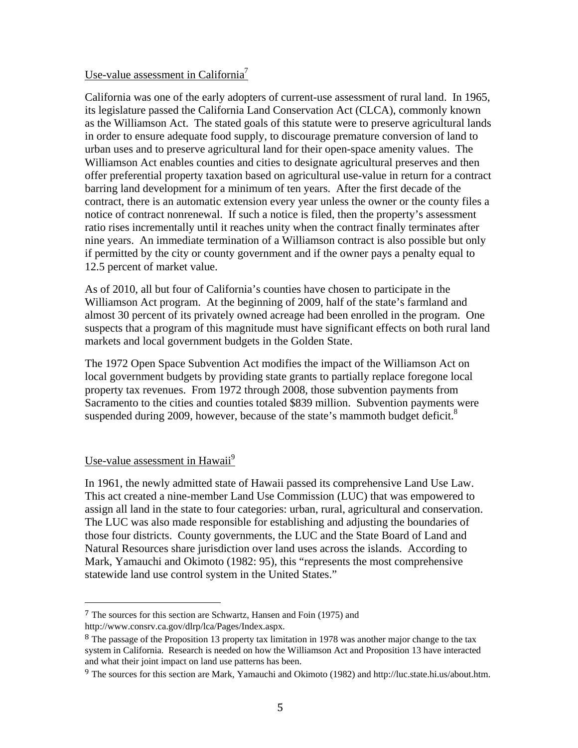#### Use-value assessment in California<sup>7</sup>

California was one of the early adopters of current-use assessment of rural land. In 1965, its legislature passed the California Land Conservation Act (CLCA), commonly known as the Williamson Act. The stated goals of this statute were to preserve agricultural lands in order to ensure adequate food supply, to discourage premature conversion of land to urban uses and to preserve agricultural land for their open-space amenity values. The Williamson Act enables counties and cities to designate agricultural preserves and then offer preferential property taxation based on agricultural use-value in return for a contract barring land development for a minimum of ten years. After the first decade of the contract, there is an automatic extension every year unless the owner or the county files a notice of contract nonrenewal. If such a notice is filed, then the property's assessment ratio rises incrementally until it reaches unity when the contract finally terminates after nine years. An immediate termination of a Williamson contract is also possible but only if permitted by the city or county government and if the owner pays a penalty equal to 12.5 percent of market value.

As of 2010, all but four of California's counties have chosen to participate in the Williamson Act program. At the beginning of 2009, half of the state's farmland and almost 30 percent of its privately owned acreage had been enrolled in the program. One suspects that a program of this magnitude must have significant effects on both rural land markets and local government budgets in the Golden State.

The 1972 Open Space Subvention Act modifies the impact of the Williamson Act on local government budgets by providing state grants to partially replace foregone local property tax revenues. From 1972 through 2008, those subvention payments from Sacramento to the cities and counties totaled \$839 million. Subvention payments were suspended during 2009, however, because of the state's mammoth budget deficit.<sup>8</sup>

#### Use-value assessment in Hawaii<sup>9</sup>

In 1961, the newly admitted state of Hawaii passed its comprehensive Land Use Law. This act created a nine-member Land Use Commission (LUC) that was empowered to assign all land in the state to four categories: urban, rural, agricultural and conservation. The LUC was also made responsible for establishing and adjusting the boundaries of those four districts. County governments, the LUC and the State Board of Land and Natural Resources share jurisdiction over land uses across the islands. According to Mark, Yamauchi and Okimoto (1982: 95), this "represents the most comprehensive statewide land use control system in the United States."

<sup>7</sup> The sources for this section are Schwartz, Hansen and Foin (1975) and

http://www.consrv.ca.gov/dlrp/lca/Pages/Index.aspx.

<sup>&</sup>lt;sup>8</sup> The passage of the Proposition 13 property tax limitation in 1978 was another major change to the tax system in California. Research is needed on how the Williamson Act and Proposition 13 have interacted and what their joint impact on land use patterns has been.

<sup>9</sup> The sources for this section are Mark, Yamauchi and Okimoto (1982) and http://luc.state.hi.us/about.htm.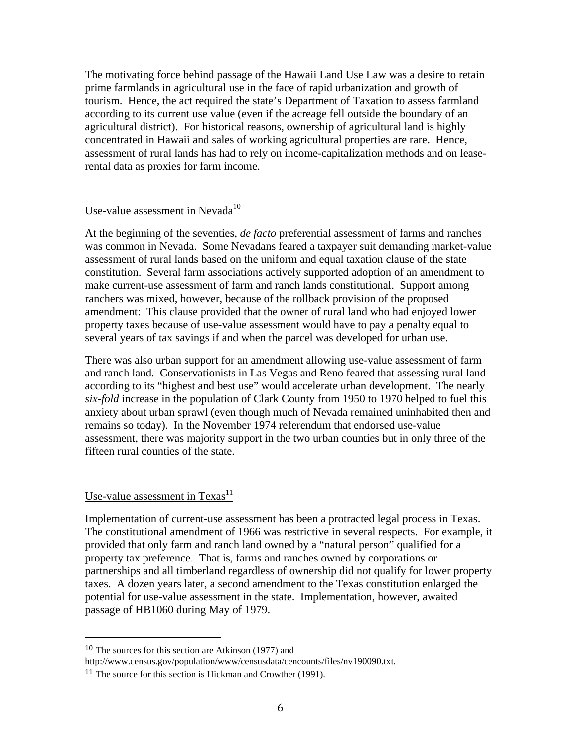The motivating force behind passage of the Hawaii Land Use Law was a desire to retain prime farmlands in agricultural use in the face of rapid urbanization and growth of tourism. Hence, the act required the state's Department of Taxation to assess farmland according to its current use value (even if the acreage fell outside the boundary of an agricultural district). For historical reasons, ownership of agricultural land is highly concentrated in Hawaii and sales of working agricultural properties are rare. Hence, assessment of rural lands has had to rely on income-capitalization methods and on leaserental data as proxies for farm income.

#### Use-value assessment in Nevada $10$

At the beginning of the seventies, *de facto* preferential assessment of farms and ranches was common in Nevada. Some Nevadans feared a taxpayer suit demanding market-value assessment of rural lands based on the uniform and equal taxation clause of the state constitution. Several farm associations actively supported adoption of an amendment to make current-use assessment of farm and ranch lands constitutional. Support among ranchers was mixed, however, because of the rollback provision of the proposed amendment: This clause provided that the owner of rural land who had enjoyed lower property taxes because of use-value assessment would have to pay a penalty equal to several years of tax savings if and when the parcel was developed for urban use.

There was also urban support for an amendment allowing use-value assessment of farm and ranch land. Conservationists in Las Vegas and Reno feared that assessing rural land according to its "highest and best use" would accelerate urban development. The nearly *six-fold* increase in the population of Clark County from 1950 to 1970 helped to fuel this anxiety about urban sprawl (even though much of Nevada remained uninhabited then and remains so today). In the November 1974 referendum that endorsed use-value assessment, there was majority support in the two urban counties but in only three of the fifteen rural counties of the state.

### Use-value assessment in  $Texas<sup>11</sup>$

Implementation of current-use assessment has been a protracted legal process in Texas. The constitutional amendment of 1966 was restrictive in several respects. For example, it provided that only farm and ranch land owned by a "natural person" qualified for a property tax preference. That is, farms and ranches owned by corporations or partnerships and all timberland regardless of ownership did not qualify for lower property taxes. A dozen years later, a second amendment to the Texas constitution enlarged the potential for use-value assessment in the state. Implementation, however, awaited passage of HB1060 during May of 1979.

<sup>10</sup> The sources for this section are Atkinson (1977) and

http://www.census.gov/population/www/censusdata/cencounts/files/nv190090.txt.

<sup>11</sup> The source for this section is Hickman and Crowther (1991).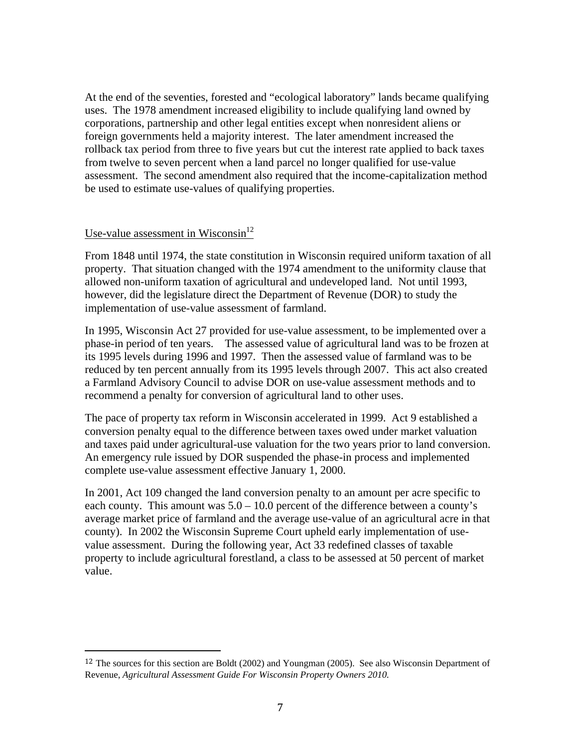At the end of the seventies, forested and "ecological laboratory" lands became qualifying uses. The 1978 amendment increased eligibility to include qualifying land owned by corporations, partnership and other legal entities except when nonresident aliens or foreign governments held a majority interest. The later amendment increased the rollback tax period from three to five years but cut the interest rate applied to back taxes from twelve to seven percent when a land parcel no longer qualified for use-value assessment. The second amendment also required that the income-capitalization method be used to estimate use-values of qualifying properties.

#### Use-value assessment in Wisconsin<sup>12</sup>

From 1848 until 1974, the state constitution in Wisconsin required uniform taxation of all property. That situation changed with the 1974 amendment to the uniformity clause that allowed non-uniform taxation of agricultural and undeveloped land. Not until 1993, however, did the legislature direct the Department of Revenue (DOR) to study the implementation of use-value assessment of farmland.

In 1995, Wisconsin Act 27 provided for use-value assessment, to be implemented over a phase-in period of ten years. The assessed value of agricultural land was to be frozen at its 1995 levels during 1996 and 1997. Then the assessed value of farmland was to be reduced by ten percent annually from its 1995 levels through 2007. This act also created a Farmland Advisory Council to advise DOR on use-value assessment methods and to recommend a penalty for conversion of agricultural land to other uses.

The pace of property tax reform in Wisconsin accelerated in 1999. Act 9 established a conversion penalty equal to the difference between taxes owed under market valuation and taxes paid under agricultural-use valuation for the two years prior to land conversion. An emergency rule issued by DOR suspended the phase-in process and implemented complete use-value assessment effective January 1, 2000.

In 2001, Act 109 changed the land conversion penalty to an amount per acre specific to each county. This amount was  $5.0 - 10.0$  percent of the difference between a county's average market price of farmland and the average use-value of an agricultural acre in that county). In 2002 the Wisconsin Supreme Court upheld early implementation of usevalue assessment. During the following year, Act 33 redefined classes of taxable property to include agricultural forestland, a class to be assessed at 50 percent of market value.

<sup>12</sup> The sources for this section are Boldt (2002) and Youngman (2005). See also Wisconsin Department of Revenue, *Agricultural Assessment Guide For Wisconsin Property Owners 2010.*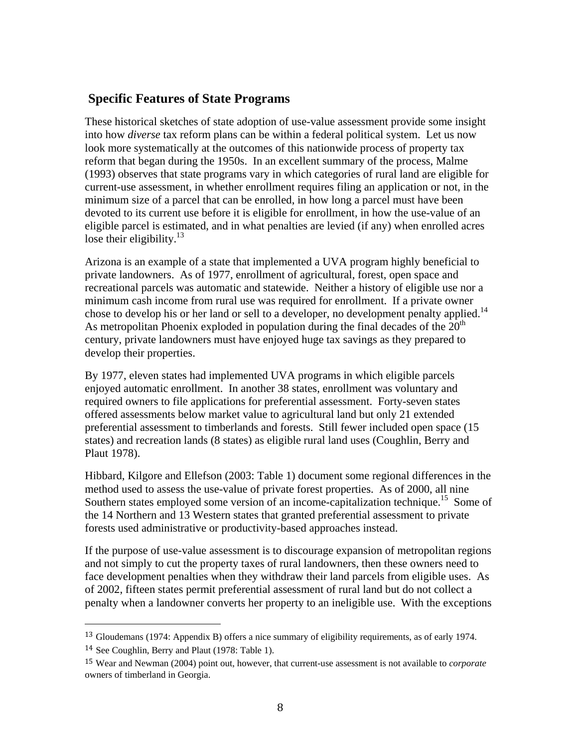### **Specific Features of State Programs**

These historical sketches of state adoption of use-value assessment provide some insight into how *diverse* tax reform plans can be within a federal political system. Let us now look more systematically at the outcomes of this nationwide process of property tax reform that began during the 1950s. In an excellent summary of the process, Malme (1993) observes that state programs vary in which categories of rural land are eligible for current-use assessment, in whether enrollment requires filing an application or not, in the minimum size of a parcel that can be enrolled, in how long a parcel must have been devoted to its current use before it is eligible for enrollment, in how the use-value of an eligible parcel is estimated, and in what penalties are levied (if any) when enrolled acres lose their eligibility. $13$ 

Arizona is an example of a state that implemented a UVA program highly beneficial to private landowners. As of 1977, enrollment of agricultural, forest, open space and recreational parcels was automatic and statewide. Neither a history of eligible use nor a minimum cash income from rural use was required for enrollment. If a private owner chose to develop his or her land or sell to a developer, no development penalty applied.<sup>14</sup> As metropolitan Phoenix exploded in population during the final decades of the  $20<sup>th</sup>$ century, private landowners must have enjoyed huge tax savings as they prepared to develop their properties.

By 1977, eleven states had implemented UVA programs in which eligible parcels enjoyed automatic enrollment. In another 38 states, enrollment was voluntary and required owners to file applications for preferential assessment. Forty-seven states offered assessments below market value to agricultural land but only 21 extended preferential assessment to timberlands and forests. Still fewer included open space (15 states) and recreation lands (8 states) as eligible rural land uses (Coughlin, Berry and Plaut 1978).

Hibbard, Kilgore and Ellefson (2003: Table 1) document some regional differences in the method used to assess the use-value of private forest properties. As of 2000, all nine Southern states employed some version of an income-capitalization technique.<sup>15</sup> Some of the 14 Northern and 13 Western states that granted preferential assessment to private forests used administrative or productivity-based approaches instead.

If the purpose of use-value assessment is to discourage expansion of metropolitan regions and not simply to cut the property taxes of rural landowners, then these owners need to face development penalties when they withdraw their land parcels from eligible uses. As of 2002, fifteen states permit preferential assessment of rural land but do not collect a penalty when a landowner converts her property to an ineligible use. With the exceptions

<sup>13</sup> Gloudemans (1974: Appendix B) offers a nice summary of eligibility requirements, as of early 1974. <sup>14</sup> See Coughlin, Berry and Plaut (1978: Table 1).

<sup>15</sup> Wear and Newman (2004) point out, however, that current-use assessment is not available to *corporate* owners of timberland in Georgia.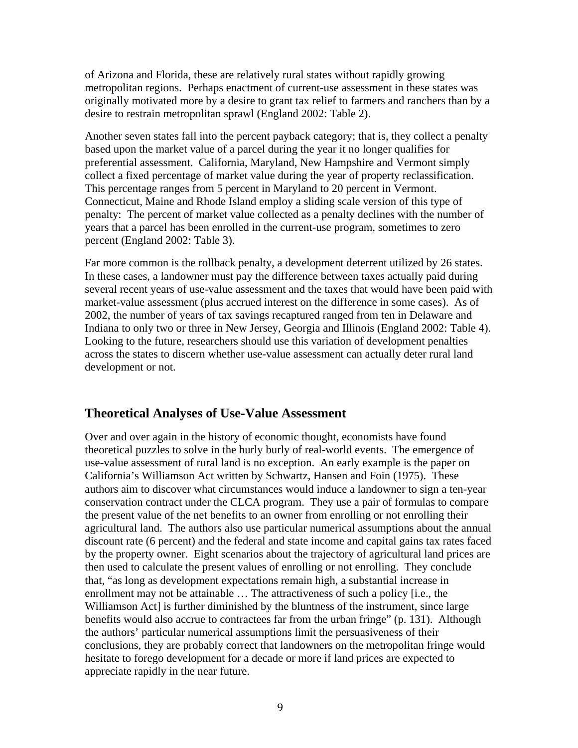of Arizona and Florida, these are relatively rural states without rapidly growing metropolitan regions. Perhaps enactment of current-use assessment in these states was originally motivated more by a desire to grant tax relief to farmers and ranchers than by a desire to restrain metropolitan sprawl (England 2002: Table 2).

Another seven states fall into the percent payback category; that is, they collect a penalty based upon the market value of a parcel during the year it no longer qualifies for preferential assessment. California, Maryland, New Hampshire and Vermont simply collect a fixed percentage of market value during the year of property reclassification. This percentage ranges from 5 percent in Maryland to 20 percent in Vermont. Connecticut, Maine and Rhode Island employ a sliding scale version of this type of penalty: The percent of market value collected as a penalty declines with the number of years that a parcel has been enrolled in the current-use program, sometimes to zero percent (England 2002: Table 3).

Far more common is the rollback penalty, a development deterrent utilized by 26 states. In these cases, a landowner must pay the difference between taxes actually paid during several recent years of use-value assessment and the taxes that would have been paid with market-value assessment (plus accrued interest on the difference in some cases). As of 2002, the number of years of tax savings recaptured ranged from ten in Delaware and Indiana to only two or three in New Jersey, Georgia and Illinois (England 2002: Table 4). Looking to the future, researchers should use this variation of development penalties across the states to discern whether use-value assessment can actually deter rural land development or not.

#### **Theoretical Analyses of Use-Value Assessment**

Over and over again in the history of economic thought, economists have found theoretical puzzles to solve in the hurly burly of real-world events. The emergence of use-value assessment of rural land is no exception. An early example is the paper on California's Williamson Act written by Schwartz, Hansen and Foin (1975). These authors aim to discover what circumstances would induce a landowner to sign a ten-year conservation contract under the CLCA program. They use a pair of formulas to compare the present value of the net benefits to an owner from enrolling or not enrolling their agricultural land. The authors also use particular numerical assumptions about the annual discount rate (6 percent) and the federal and state income and capital gains tax rates faced by the property owner. Eight scenarios about the trajectory of agricultural land prices are then used to calculate the present values of enrolling or not enrolling. They conclude that, "as long as development expectations remain high, a substantial increase in enrollment may not be attainable … The attractiveness of such a policy [i.e., the Williamson Act] is further diminished by the bluntness of the instrument, since large benefits would also accrue to contractees far from the urban fringe" (p. 131). Although the authors' particular numerical assumptions limit the persuasiveness of their conclusions, they are probably correct that landowners on the metropolitan fringe would hesitate to forego development for a decade or more if land prices are expected to appreciate rapidly in the near future.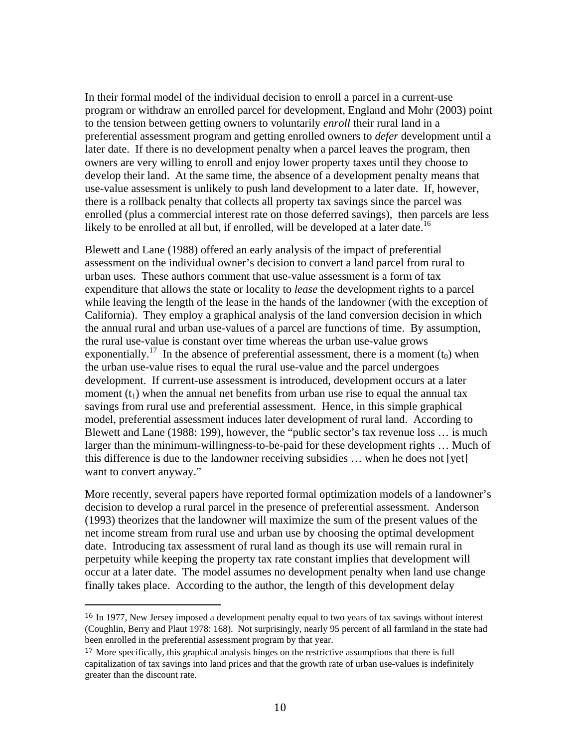In their formal model of the individual decision to enroll a parcel in a current-use program or withdraw an enrolled parcel for development, England and Mohr (2003) point to the tension between getting owners to voluntarily *enroll* their rural land in a preferential assessment program and getting enrolled owners to *defer* development until a later date. If there is no development penalty when a parcel leaves the program, then owners are very willing to enroll and enjoy lower property taxes until they choose to develop their land. At the same time, the absence of a development penalty means that use-value assessment is unlikely to push land development to a later date. If, however, there is a rollback penalty that collects all property tax savings since the parcel was enrolled (plus a commercial interest rate on those deferred savings), then parcels are less likely to be enrolled at all but, if enrolled, will be developed at a later date.<sup>16</sup>

Blewett and Lane (1988) offered an early analysis of the impact of preferential assessment on the individual owner's decision to convert a land parcel from rural to urban uses. These authors comment that use-value assessment is a form of tax expenditure that allows the state or locality to *lease* the development rights to a parcel while leaving the length of the lease in the hands of the landowner (with the exception of California). They employ a graphical analysis of the land conversion decision in which the annual rural and urban use-values of a parcel are functions of time. By assumption, the rural use-value is constant over time whereas the urban use-value grows exponentially.<sup>17</sup> In the absence of preferential assessment, there is a moment ( $t_0$ ) when the urban use-value rises to equal the rural use-value and the parcel undergoes development. If current-use assessment is introduced, development occurs at a later moment  $(t_1)$  when the annual net benefits from urban use rise to equal the annual tax savings from rural use and preferential assessment. Hence, in this simple graphical model, preferential assessment induces later development of rural land. According to Blewett and Lane (1988: 199), however, the "public sector's tax revenue loss … is much larger than the minimum-willingness-to-be-paid for these development rights … Much of this difference is due to the landowner receiving subsidies … when he does not [yet] want to convert anyway."

More recently, several papers have reported formal optimization models of a landowner's decision to develop a rural parcel in the presence of preferential assessment. Anderson (1993) theorizes that the landowner will maximize the sum of the present values of the net income stream from rural use and urban use by choosing the optimal development date. Introducing tax assessment of rural land as though its use will remain rural in perpetuity while keeping the property tax rate constant implies that development will occur at a later date. The model assumes no development penalty when land use change finally takes place. According to the author, the length of this development delay

<sup>16</sup> In 1977, New Jersey imposed a development penalty equal to two years of tax savings without interest (Coughlin, Berry and Plaut 1978: 168). Not surprisingly, nearly 95 percent of all farmland in the state had been enrolled in the preferential assessment program by that year.

<sup>&</sup>lt;sup>17</sup> More specifically, this graphical analysis hinges on the restrictive assumptions that there is full capitalization of tax savings into land prices and that the growth rate of urban use-values is indefinitely greater than the discount rate.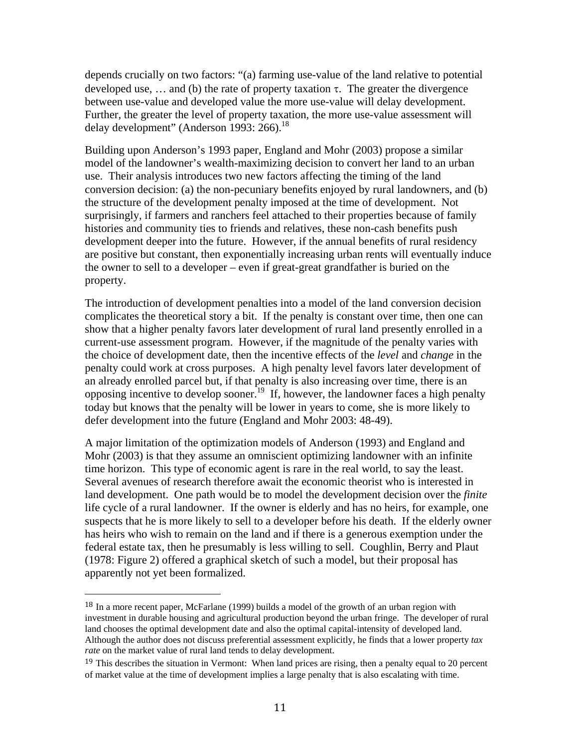depends crucially on two factors: "(a) farming use-value of the land relative to potential developed use, ... and (b) the rate of property taxation  $\tau$ . The greater the divergence between use-value and developed value the more use-value will delay development. Further, the greater the level of property taxation, the more use-value assessment will delay development" (Anderson 1993: 266).<sup>18</sup>

Building upon Anderson's 1993 paper, England and Mohr (2003) propose a similar model of the landowner's wealth-maximizing decision to convert her land to an urban use. Their analysis introduces two new factors affecting the timing of the land conversion decision: (a) the non-pecuniary benefits enjoyed by rural landowners, and (b) the structure of the development penalty imposed at the time of development. Not surprisingly, if farmers and ranchers feel attached to their properties because of family histories and community ties to friends and relatives, these non-cash benefits push development deeper into the future. However, if the annual benefits of rural residency are positive but constant, then exponentially increasing urban rents will eventually induce the owner to sell to a developer – even if great-great grandfather is buried on the property.

The introduction of development penalties into a model of the land conversion decision complicates the theoretical story a bit. If the penalty is constant over time, then one can show that a higher penalty favors later development of rural land presently enrolled in a current-use assessment program. However, if the magnitude of the penalty varies with the choice of development date, then the incentive effects of the *level* and *change* in the penalty could work at cross purposes. A high penalty level favors later development of an already enrolled parcel but, if that penalty is also increasing over time, there is an opposing incentive to develop sooner.<sup>19</sup> If, however, the landowner faces a high penalty today but knows that the penalty will be lower in years to come, she is more likely to defer development into the future (England and Mohr 2003: 48-49).

A major limitation of the optimization models of Anderson (1993) and England and Mohr (2003) is that they assume an omniscient optimizing landowner with an infinite time horizon. This type of economic agent is rare in the real world, to say the least. Several avenues of research therefore await the economic theorist who is interested in land development. One path would be to model the development decision over the *finite*  life cycle of a rural landowner. If the owner is elderly and has no heirs, for example, one suspects that he is more likely to sell to a developer before his death. If the elderly owner has heirs who wish to remain on the land and if there is a generous exemption under the federal estate tax, then he presumably is less willing to sell. Coughlin, Berry and Plaut (1978: Figure 2) offered a graphical sketch of such a model, but their proposal has apparently not yet been formalized.

<sup>18</sup> In a more recent paper, McFarlane (1999) builds a model of the growth of an urban region with investment in durable housing and agricultural production beyond the urban fringe. The developer of rural land chooses the optimal development date and also the optimal capital-intensity of developed land. Although the author does not discuss preferential assessment explicitly, he finds that a lower property *tax rate* on the market value of rural land tends to delay development.

<sup>&</sup>lt;sup>19</sup> This describes the situation in Vermont: When land prices are rising, then a penalty equal to 20 percent of market value at the time of development implies a large penalty that is also escalating with time.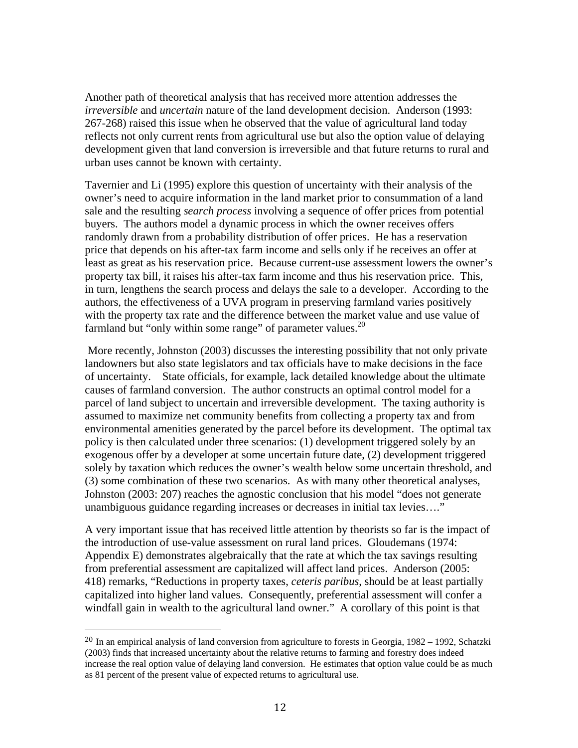Another path of theoretical analysis that has received more attention addresses the *irreversible* and *uncertain* nature of the land development decision. Anderson (1993: 267-268) raised this issue when he observed that the value of agricultural land today reflects not only current rents from agricultural use but also the option value of delaying development given that land conversion is irreversible and that future returns to rural and urban uses cannot be known with certainty.

Tavernier and Li (1995) explore this question of uncertainty with their analysis of the owner's need to acquire information in the land market prior to consummation of a land sale and the resulting *search process* involving a sequence of offer prices from potential buyers. The authors model a dynamic process in which the owner receives offers randomly drawn from a probability distribution of offer prices. He has a reservation price that depends on his after-tax farm income and sells only if he receives an offer at least as great as his reservation price. Because current-use assessment lowers the owner's property tax bill, it raises his after-tax farm income and thus his reservation price. This, in turn, lengthens the search process and delays the sale to a developer. According to the authors, the effectiveness of a UVA program in preserving farmland varies positively with the property tax rate and the difference between the market value and use value of farmland but "only within some range" of parameter values. $^{20}$ 

 More recently, Johnston (2003) discusses the interesting possibility that not only private landowners but also state legislators and tax officials have to make decisions in the face of uncertainty. State officials, for example, lack detailed knowledge about the ultimate causes of farmland conversion. The author constructs an optimal control model for a parcel of land subject to uncertain and irreversible development. The taxing authority is assumed to maximize net community benefits from collecting a property tax and from environmental amenities generated by the parcel before its development. The optimal tax policy is then calculated under three scenarios: (1) development triggered solely by an exogenous offer by a developer at some uncertain future date, (2) development triggered solely by taxation which reduces the owner's wealth below some uncertain threshold, and (3) some combination of these two scenarios. As with many other theoretical analyses, Johnston (2003: 207) reaches the agnostic conclusion that his model "does not generate unambiguous guidance regarding increases or decreases in initial tax levies…."

A very important issue that has received little attention by theorists so far is the impact of the introduction of use-value assessment on rural land prices. Gloudemans (1974: Appendix E) demonstrates algebraically that the rate at which the tax savings resulting from preferential assessment are capitalized will affect land prices. Anderson (2005: 418) remarks, "Reductions in property taxes, *ceteris paribus*, should be at least partially capitalized into higher land values. Consequently, preferential assessment will confer a windfall gain in wealth to the agricultural land owner." A corollary of this point is that

<sup>20</sup> In an empirical analysis of land conversion from agriculture to forests in Georgia, 1982 – 1992, Schatzki (2003) finds that increased uncertainty about the relative returns to farming and forestry does indeed increase the real option value of delaying land conversion. He estimates that option value could be as much as 81 percent of the present value of expected returns to agricultural use.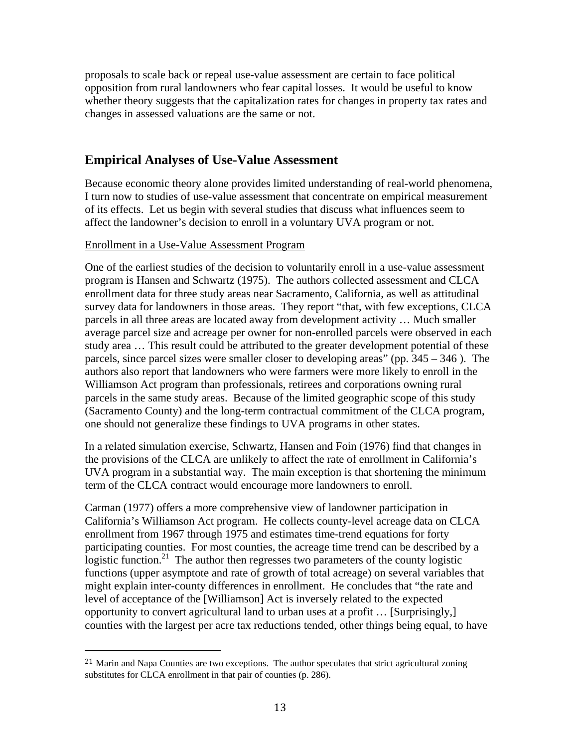proposals to scale back or repeal use-value assessment are certain to face political opposition from rural landowners who fear capital losses. It would be useful to know whether theory suggests that the capitalization rates for changes in property tax rates and changes in assessed valuations are the same or not.

# **Empirical Analyses of Use-Value Assessment**

Because economic theory alone provides limited understanding of real-world phenomena, I turn now to studies of use-value assessment that concentrate on empirical measurement of its effects. Let us begin with several studies that discuss what influences seem to affect the landowner's decision to enroll in a voluntary UVA program or not.

#### Enrollment in a Use-Value Assessment Program

One of the earliest studies of the decision to voluntarily enroll in a use-value assessment program is Hansen and Schwartz (1975). The authors collected assessment and CLCA enrollment data for three study areas near Sacramento, California, as well as attitudinal survey data for landowners in those areas. They report "that, with few exceptions, CLCA parcels in all three areas are located away from development activity … Much smaller average parcel size and acreage per owner for non-enrolled parcels were observed in each study area … This result could be attributed to the greater development potential of these parcels, since parcel sizes were smaller closer to developing areas" (pp. 345 – 346 ). The authors also report that landowners who were farmers were more likely to enroll in the Williamson Act program than professionals, retirees and corporations owning rural parcels in the same study areas. Because of the limited geographic scope of this study (Sacramento County) and the long-term contractual commitment of the CLCA program, one should not generalize these findings to UVA programs in other states.

In a related simulation exercise, Schwartz, Hansen and Foin (1976) find that changes in the provisions of the CLCA are unlikely to affect the rate of enrollment in California's UVA program in a substantial way. The main exception is that shortening the minimum term of the CLCA contract would encourage more landowners to enroll.

Carman (1977) offers a more comprehensive view of landowner participation in California's Williamson Act program. He collects county-level acreage data on CLCA enrollment from 1967 through 1975 and estimates time-trend equations for forty participating counties. For most counties, the acreage time trend can be described by a logistic function.<sup>21</sup> The author then regresses two parameters of the county logistic functions (upper asymptote and rate of growth of total acreage) on several variables that might explain inter-county differences in enrollment. He concludes that "the rate and level of acceptance of the [Williamson] Act is inversely related to the expected opportunity to convert agricultural land to urban uses at a profit … [Surprisingly,] counties with the largest per acre tax reductions tended, other things being equal, to have

<sup>&</sup>lt;sup>21</sup> Marin and Napa Counties are two exceptions. The author speculates that strict agricultural zoning substitutes for CLCA enrollment in that pair of counties (p. 286).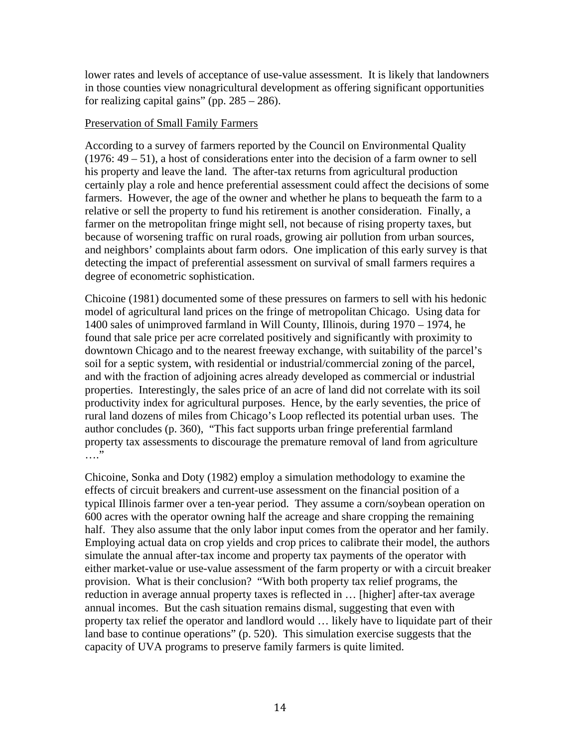lower rates and levels of acceptance of use-value assessment. It is likely that landowners in those counties view nonagricultural development as offering significant opportunities for realizing capital gains" (pp.  $285 - 286$ ).

#### Preservation of Small Family Farmers

According to a survey of farmers reported by the Council on Environmental Quality (1976: 49 – 51), a host of considerations enter into the decision of a farm owner to sell his property and leave the land. The after-tax returns from agricultural production certainly play a role and hence preferential assessment could affect the decisions of some farmers. However, the age of the owner and whether he plans to bequeath the farm to a relative or sell the property to fund his retirement is another consideration. Finally, a farmer on the metropolitan fringe might sell, not because of rising property taxes, but because of worsening traffic on rural roads, growing air pollution from urban sources, and neighbors' complaints about farm odors. One implication of this early survey is that detecting the impact of preferential assessment on survival of small farmers requires a degree of econometric sophistication.

Chicoine (1981) documented some of these pressures on farmers to sell with his hedonic model of agricultural land prices on the fringe of metropolitan Chicago. Using data for 1400 sales of unimproved farmland in Will County, Illinois, during 1970 – 1974, he found that sale price per acre correlated positively and significantly with proximity to downtown Chicago and to the nearest freeway exchange, with suitability of the parcel's soil for a septic system, with residential or industrial/commercial zoning of the parcel, and with the fraction of adjoining acres already developed as commercial or industrial properties. Interestingly, the sales price of an acre of land did not correlate with its soil productivity index for agricultural purposes. Hence, by the early seventies, the price of rural land dozens of miles from Chicago's Loop reflected its potential urban uses. The author concludes (p. 360), "This fact supports urban fringe preferential farmland property tax assessments to discourage the premature removal of land from agriculture  $\cdots$ "

Chicoine, Sonka and Doty (1982) employ a simulation methodology to examine the effects of circuit breakers and current-use assessment on the financial position of a typical Illinois farmer over a ten-year period. They assume a corn/soybean operation on 600 acres with the operator owning half the acreage and share cropping the remaining half. They also assume that the only labor input comes from the operator and her family. Employing actual data on crop yields and crop prices to calibrate their model, the authors simulate the annual after-tax income and property tax payments of the operator with either market-value or use-value assessment of the farm property or with a circuit breaker provision. What is their conclusion? "With both property tax relief programs, the reduction in average annual property taxes is reflected in … [higher] after-tax average annual incomes. But the cash situation remains dismal, suggesting that even with property tax relief the operator and landlord would … likely have to liquidate part of their land base to continue operations" (p. 520). This simulation exercise suggests that the capacity of UVA programs to preserve family farmers is quite limited.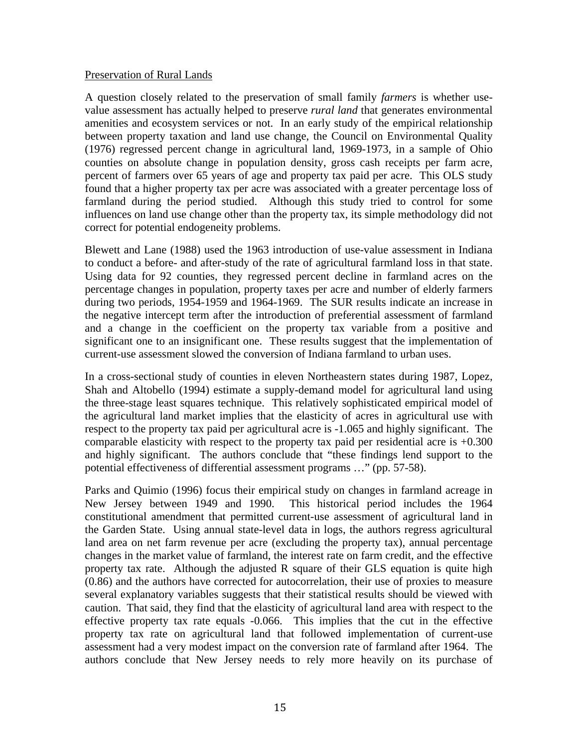#### Preservation of Rural Lands

A question closely related to the preservation of small family *farmers* is whether usevalue assessment has actually helped to preserve *rural land* that generates environmental amenities and ecosystem services or not. In an early study of the empirical relationship between property taxation and land use change, the Council on Environmental Quality (1976) regressed percent change in agricultural land, 1969-1973, in a sample of Ohio counties on absolute change in population density, gross cash receipts per farm acre, percent of farmers over 65 years of age and property tax paid per acre. This OLS study found that a higher property tax per acre was associated with a greater percentage loss of farmland during the period studied. Although this study tried to control for some influences on land use change other than the property tax, its simple methodology did not correct for potential endogeneity problems.

Blewett and Lane (1988) used the 1963 introduction of use-value assessment in Indiana to conduct a before- and after-study of the rate of agricultural farmland loss in that state. Using data for 92 counties, they regressed percent decline in farmland acres on the percentage changes in population, property taxes per acre and number of elderly farmers during two periods, 1954-1959 and 1964-1969. The SUR results indicate an increase in the negative intercept term after the introduction of preferential assessment of farmland and a change in the coefficient on the property tax variable from a positive and significant one to an insignificant one. These results suggest that the implementation of current-use assessment slowed the conversion of Indiana farmland to urban uses.

In a cross-sectional study of counties in eleven Northeastern states during 1987, Lopez, Shah and Altobello (1994) estimate a supply-demand model for agricultural land using the three-stage least squares technique. This relatively sophisticated empirical model of the agricultural land market implies that the elasticity of acres in agricultural use with respect to the property tax paid per agricultural acre is -1.065 and highly significant. The comparable elasticity with respect to the property tax paid per residential acre is +0.300 and highly significant. The authors conclude that "these findings lend support to the potential effectiveness of differential assessment programs …" (pp. 57-58).

Parks and Quimio (1996) focus their empirical study on changes in farmland acreage in New Jersey between 1949 and 1990. This historical period includes the 1964 constitutional amendment that permitted current-use assessment of agricultural land in the Garden State. Using annual state-level data in logs, the authors regress agricultural land area on net farm revenue per acre (excluding the property tax), annual percentage changes in the market value of farmland, the interest rate on farm credit, and the effective property tax rate. Although the adjusted R square of their GLS equation is quite high (0.86) and the authors have corrected for autocorrelation, their use of proxies to measure several explanatory variables suggests that their statistical results should be viewed with caution. That said, they find that the elasticity of agricultural land area with respect to the effective property tax rate equals -0.066. This implies that the cut in the effective property tax rate on agricultural land that followed implementation of current-use assessment had a very modest impact on the conversion rate of farmland after 1964. The authors conclude that New Jersey needs to rely more heavily on its purchase of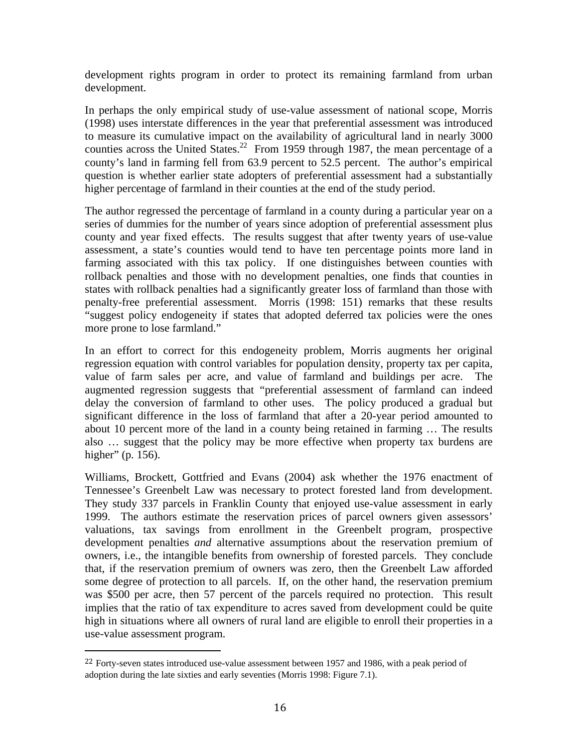development rights program in order to protect its remaining farmland from urban development.

In perhaps the only empirical study of use-value assessment of national scope, Morris (1998) uses interstate differences in the year that preferential assessment was introduced to measure its cumulative impact on the availability of agricultural land in nearly 3000 counties across the United States.<sup>22</sup> From 1959 through 1987, the mean percentage of a county's land in farming fell from 63.9 percent to 52.5 percent. The author's empirical question is whether earlier state adopters of preferential assessment had a substantially higher percentage of farmland in their counties at the end of the study period.

The author regressed the percentage of farmland in a county during a particular year on a series of dummies for the number of years since adoption of preferential assessment plus county and year fixed effects. The results suggest that after twenty years of use-value assessment, a state's counties would tend to have ten percentage points more land in farming associated with this tax policy. If one distinguishes between counties with rollback penalties and those with no development penalties, one finds that counties in states with rollback penalties had a significantly greater loss of farmland than those with penalty-free preferential assessment. Morris (1998: 151) remarks that these results "suggest policy endogeneity if states that adopted deferred tax policies were the ones more prone to lose farmland."

In an effort to correct for this endogeneity problem, Morris augments her original regression equation with control variables for population density, property tax per capita, value of farm sales per acre, and value of farmland and buildings per acre. The augmented regression suggests that "preferential assessment of farmland can indeed delay the conversion of farmland to other uses. The policy produced a gradual but significant difference in the loss of farmland that after a 20-year period amounted to about 10 percent more of the land in a county being retained in farming … The results also … suggest that the policy may be more effective when property tax burdens are higher" (p. 156).

Williams, Brockett, Gottfried and Evans (2004) ask whether the 1976 enactment of Tennessee's Greenbelt Law was necessary to protect forested land from development. They study 337 parcels in Franklin County that enjoyed use-value assessment in early 1999. The authors estimate the reservation prices of parcel owners given assessors' valuations, tax savings from enrollment in the Greenbelt program, prospective development penalties *and* alternative assumptions about the reservation premium of owners, i.e., the intangible benefits from ownership of forested parcels. They conclude that, if the reservation premium of owners was zero, then the Greenbelt Law afforded some degree of protection to all parcels. If, on the other hand, the reservation premium was \$500 per acre, then 57 percent of the parcels required no protection. This result implies that the ratio of tax expenditure to acres saved from development could be quite high in situations where all owners of rural land are eligible to enroll their properties in a use-value assessment program.

<sup>22</sup> Forty-seven states introduced use-value assessment between 1957 and 1986, with a peak period of adoption during the late sixties and early seventies (Morris 1998: Figure 7.1).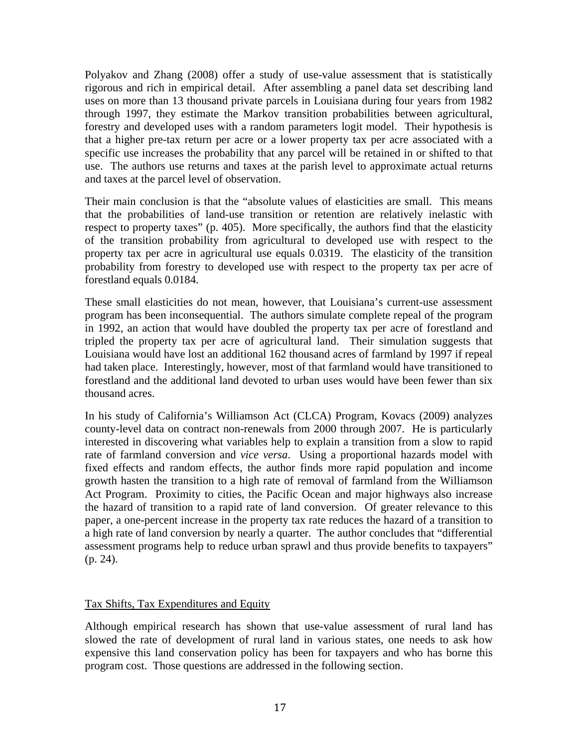Polyakov and Zhang (2008) offer a study of use-value assessment that is statistically rigorous and rich in empirical detail. After assembling a panel data set describing land uses on more than 13 thousand private parcels in Louisiana during four years from 1982 through 1997, they estimate the Markov transition probabilities between agricultural, forestry and developed uses with a random parameters logit model. Their hypothesis is that a higher pre-tax return per acre or a lower property tax per acre associated with a specific use increases the probability that any parcel will be retained in or shifted to that use. The authors use returns and taxes at the parish level to approximate actual returns and taxes at the parcel level of observation.

Their main conclusion is that the "absolute values of elasticities are small. This means that the probabilities of land-use transition or retention are relatively inelastic with respect to property taxes" (p. 405). More specifically, the authors find that the elasticity of the transition probability from agricultural to developed use with respect to the property tax per acre in agricultural use equals 0.0319. The elasticity of the transition probability from forestry to developed use with respect to the property tax per acre of forestland equals 0.0184.

These small elasticities do not mean, however, that Louisiana's current-use assessment program has been inconsequential. The authors simulate complete repeal of the program in 1992, an action that would have doubled the property tax per acre of forestland and tripled the property tax per acre of agricultural land. Their simulation suggests that Louisiana would have lost an additional 162 thousand acres of farmland by 1997 if repeal had taken place. Interestingly, however, most of that farmland would have transitioned to forestland and the additional land devoted to urban uses would have been fewer than six thousand acres.

In his study of California's Williamson Act (CLCA) Program, Kovacs (2009) analyzes county-level data on contract non-renewals from 2000 through 2007. He is particularly interested in discovering what variables help to explain a transition from a slow to rapid rate of farmland conversion and *vice versa*. Using a proportional hazards model with fixed effects and random effects, the author finds more rapid population and income growth hasten the transition to a high rate of removal of farmland from the Williamson Act Program. Proximity to cities, the Pacific Ocean and major highways also increase the hazard of transition to a rapid rate of land conversion. Of greater relevance to this paper, a one-percent increase in the property tax rate reduces the hazard of a transition to a high rate of land conversion by nearly a quarter. The author concludes that "differential assessment programs help to reduce urban sprawl and thus provide benefits to taxpayers" (p. 24).

#### Tax Shifts, Tax Expenditures and Equity

Although empirical research has shown that use-value assessment of rural land has slowed the rate of development of rural land in various states, one needs to ask how expensive this land conservation policy has been for taxpayers and who has borne this program cost. Those questions are addressed in the following section.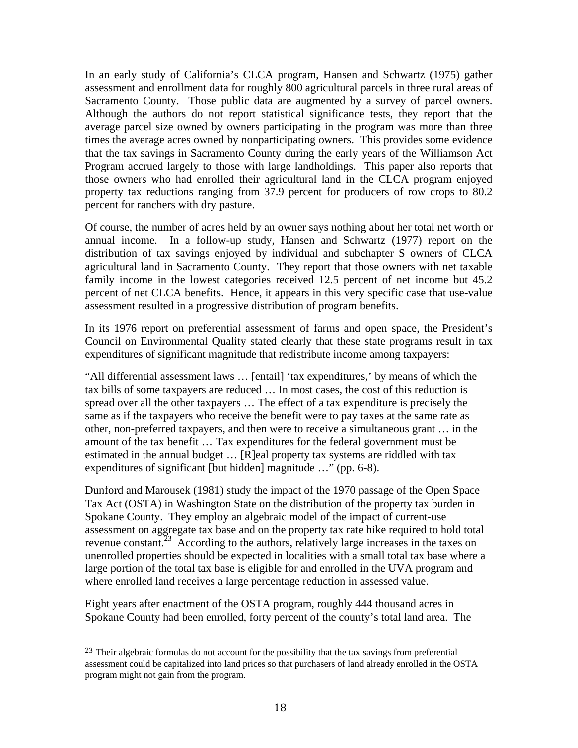In an early study of California's CLCA program, Hansen and Schwartz (1975) gather assessment and enrollment data for roughly 800 agricultural parcels in three rural areas of Sacramento County. Those public data are augmented by a survey of parcel owners. Although the authors do not report statistical significance tests, they report that the average parcel size owned by owners participating in the program was more than three times the average acres owned by nonparticipating owners. This provides some evidence that the tax savings in Sacramento County during the early years of the Williamson Act Program accrued largely to those with large landholdings. This paper also reports that those owners who had enrolled their agricultural land in the CLCA program enjoyed property tax reductions ranging from 37.9 percent for producers of row crops to 80.2 percent for ranchers with dry pasture.

Of course, the number of acres held by an owner says nothing about her total net worth or annual income. In a follow-up study, Hansen and Schwartz (1977) report on the distribution of tax savings enjoyed by individual and subchapter S owners of CLCA agricultural land in Sacramento County. They report that those owners with net taxable family income in the lowest categories received 12.5 percent of net income but 45.2 percent of net CLCA benefits. Hence, it appears in this very specific case that use-value assessment resulted in a progressive distribution of program benefits.

In its 1976 report on preferential assessment of farms and open space, the President's Council on Environmental Quality stated clearly that these state programs result in tax expenditures of significant magnitude that redistribute income among taxpayers:

"All differential assessment laws … [entail] 'tax expenditures,' by means of which the tax bills of some taxpayers are reduced … In most cases, the cost of this reduction is spread over all the other taxpayers … The effect of a tax expenditure is precisely the same as if the taxpayers who receive the benefit were to pay taxes at the same rate as other, non-preferred taxpayers, and then were to receive a simultaneous grant … in the amount of the tax benefit … Tax expenditures for the federal government must be estimated in the annual budget … [R]eal property tax systems are riddled with tax expenditures of significant [but hidden] magnitude …" (pp. 6-8).

Dunford and Marousek (1981) study the impact of the 1970 passage of the Open Space Tax Act (OSTA) in Washington State on the distribution of the property tax burden in Spokane County. They employ an algebraic model of the impact of current-use assessment on aggregate tax base and on the property tax rate hike required to hold total revenue constant.<sup> $23$ </sup> According to the authors, relatively large increases in the taxes on unenrolled properties should be expected in localities with a small total tax base where a large portion of the total tax base is eligible for and enrolled in the UVA program and where enrolled land receives a large percentage reduction in assessed value.

Eight years after enactment of the OSTA program, roughly 444 thousand acres in Spokane County had been enrolled, forty percent of the county's total land area. The

<sup>&</sup>lt;sup>23</sup> Their algebraic formulas do not account for the possibility that the tax savings from preferential assessment could be capitalized into land prices so that purchasers of land already enrolled in the OSTA program might not gain from the program.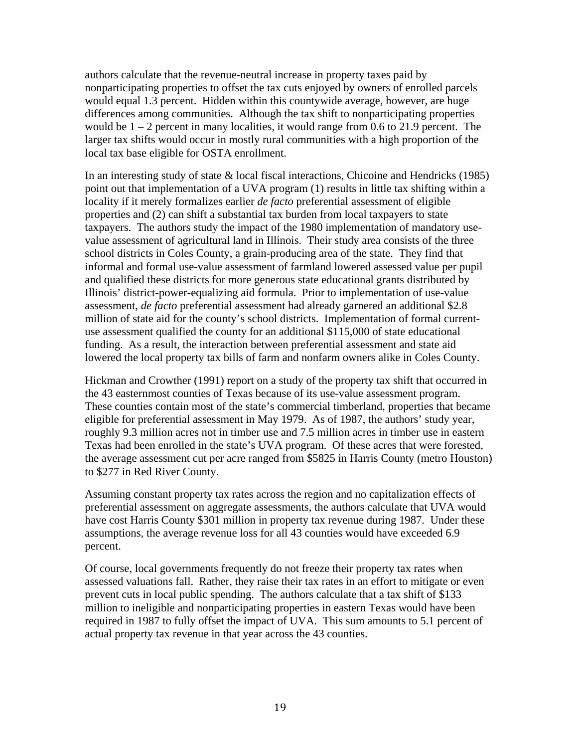authors calculate that the revenue-neutral increase in property taxes paid by nonparticipating properties to offset the tax cuts enjoyed by owners of enrolled parcels would equal 1.3 percent. Hidden within this countywide average, however, are huge differences among communities. Although the tax shift to nonparticipating properties would be  $1 - 2$  percent in many localities, it would range from 0.6 to 21.9 percent. The larger tax shifts would occur in mostly rural communities with a high proportion of the local tax base eligible for OSTA enrollment.

In an interesting study of state & local fiscal interactions, Chicoine and Hendricks (1985) point out that implementation of a UVA program (1) results in little tax shifting within a locality if it merely formalizes earlier *de facto* preferential assessment of eligible properties and (2) can shift a substantial tax burden from local taxpayers to state taxpayers. The authors study the impact of the 1980 implementation of mandatory usevalue assessment of agricultural land in Illinois. Their study area consists of the three school districts in Coles County, a grain-producing area of the state. They find that informal and formal use-value assessment of farmland lowered assessed value per pupil and qualified these districts for more generous state educational grants distributed by Illinois' district-power-equalizing aid formula. Prior to implementation of use-value assessment, *de facto* preferential assessment had already garnered an additional \$2.8 million of state aid for the county's school districts. Implementation of formal currentuse assessment qualified the county for an additional \$115,000 of state educational funding. As a result, the interaction between preferential assessment and state aid lowered the local property tax bills of farm and nonfarm owners alike in Coles County.

Hickman and Crowther (1991) report on a study of the property tax shift that occurred in the 43 easternmost counties of Texas because of its use-value assessment program. These counties contain most of the state's commercial timberland, properties that became eligible for preferential assessment in May 1979. As of 1987, the authors' study year, roughly 9.3 million acres not in timber use and 7.5 million acres in timber use in eastern Texas had been enrolled in the state's UVA program. Of these acres that were forested, the average assessment cut per acre ranged from \$5825 in Harris County (metro Houston) to \$277 in Red River County.

Assuming constant property tax rates across the region and no capitalization effects of preferential assessment on aggregate assessments, the authors calculate that UVA would have cost Harris County \$301 million in property tax revenue during 1987. Under these assumptions, the average revenue loss for all 43 counties would have exceeded 6.9 percent.

Of course, local governments frequently do not freeze their property tax rates when assessed valuations fall. Rather, they raise their tax rates in an effort to mitigate or even prevent cuts in local public spending. The authors calculate that a tax shift of \$133 million to ineligible and nonparticipating properties in eastern Texas would have been required in 1987 to fully offset the impact of UVA. This sum amounts to 5.1 percent of actual property tax revenue in that year across the 43 counties.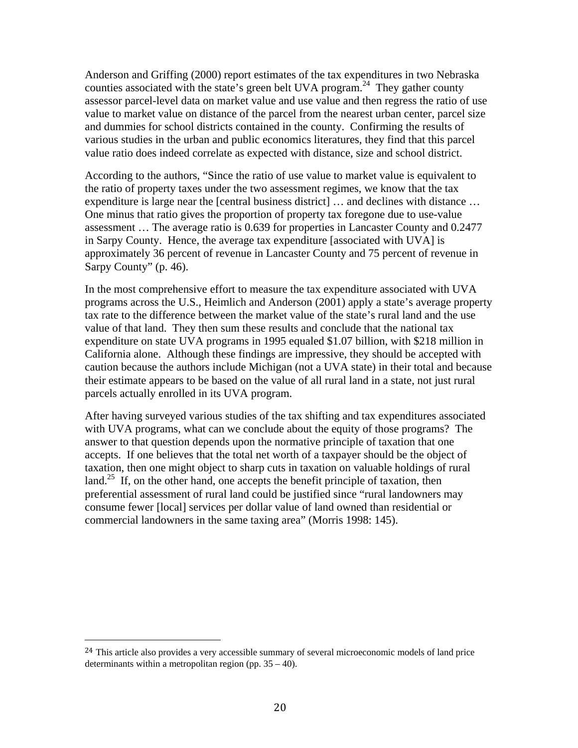Anderson and Griffing (2000) report estimates of the tax expenditures in two Nebraska counties associated with the state's green belt UVA program.<sup>24</sup> They gather county assessor parcel-level data on market value and use value and then regress the ratio of use value to market value on distance of the parcel from the nearest urban center, parcel size and dummies for school districts contained in the county. Confirming the results of various studies in the urban and public economics literatures, they find that this parcel value ratio does indeed correlate as expected with distance, size and school district.

According to the authors, "Since the ratio of use value to market value is equivalent to the ratio of property taxes under the two assessment regimes, we know that the tax expenditure is large near the [central business district] … and declines with distance … One minus that ratio gives the proportion of property tax foregone due to use-value assessment … The average ratio is 0.639 for properties in Lancaster County and 0.2477 in Sarpy County. Hence, the average tax expenditure [associated with UVA] is approximately 36 percent of revenue in Lancaster County and 75 percent of revenue in Sarpy County" (p. 46).

In the most comprehensive effort to measure the tax expenditure associated with UVA programs across the U.S., Heimlich and Anderson (2001) apply a state's average property tax rate to the difference between the market value of the state's rural land and the use value of that land. They then sum these results and conclude that the national tax expenditure on state UVA programs in 1995 equaled \$1.07 billion, with \$218 million in California alone. Although these findings are impressive, they should be accepted with caution because the authors include Michigan (not a UVA state) in their total and because their estimate appears to be based on the value of all rural land in a state, not just rural parcels actually enrolled in its UVA program.

After having surveyed various studies of the tax shifting and tax expenditures associated with UVA programs, what can we conclude about the equity of those programs? The answer to that question depends upon the normative principle of taxation that one accepts. If one believes that the total net worth of a taxpayer should be the object of taxation, then one might object to sharp cuts in taxation on valuable holdings of rural land.<sup>25</sup> If, on the other hand, one accepts the benefit principle of taxation, then preferential assessment of rural land could be justified since "rural landowners may consume fewer [local] services per dollar value of land owned than residential or commercial landowners in the same taxing area" (Morris 1998: 145).

<sup>&</sup>lt;sup>24</sup> This article also provides a very accessible summary of several microeconomic models of land price determinants within a metropolitan region (pp. 35 – 40).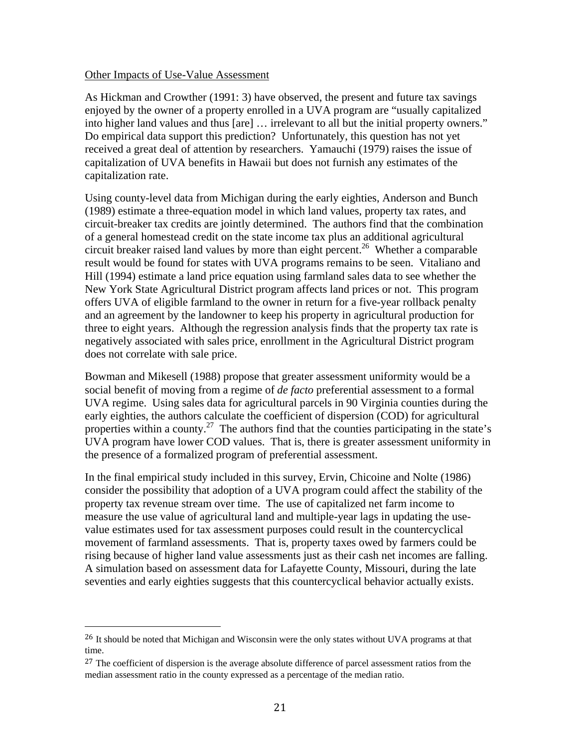#### Other Impacts of Use-Value Assessment

As Hickman and Crowther (1991: 3) have observed, the present and future tax savings enjoyed by the owner of a property enrolled in a UVA program are "usually capitalized into higher land values and thus [are] … irrelevant to all but the initial property owners." Do empirical data support this prediction? Unfortunately, this question has not yet received a great deal of attention by researchers. Yamauchi (1979) raises the issue of capitalization of UVA benefits in Hawaii but does not furnish any estimates of the capitalization rate.

Using county-level data from Michigan during the early eighties, Anderson and Bunch (1989) estimate a three-equation model in which land values, property tax rates, and circuit-breaker tax credits are jointly determined. The authors find that the combination of a general homestead credit on the state income tax plus an additional agricultural circuit breaker raised land values by more than eight percent.<sup>26</sup> Whether a comparable result would be found for states with UVA programs remains to be seen. Vitaliano and Hill (1994) estimate a land price equation using farmland sales data to see whether the New York State Agricultural District program affects land prices or not. This program offers UVA of eligible farmland to the owner in return for a five-year rollback penalty and an agreement by the landowner to keep his property in agricultural production for three to eight years. Although the regression analysis finds that the property tax rate is negatively associated with sales price, enrollment in the Agricultural District program does not correlate with sale price.

Bowman and Mikesell (1988) propose that greater assessment uniformity would be a social benefit of moving from a regime of *de facto* preferential assessment to a formal UVA regime. Using sales data for agricultural parcels in 90 Virginia counties during the early eighties, the authors calculate the coefficient of dispersion (COD) for agricultural properties within a county.<sup>27</sup> The authors find that the counties participating in the state's UVA program have lower COD values. That is, there is greater assessment uniformity in the presence of a formalized program of preferential assessment.

In the final empirical study included in this survey, Ervin, Chicoine and Nolte (1986) consider the possibility that adoption of a UVA program could affect the stability of the property tax revenue stream over time. The use of capitalized net farm income to measure the use value of agricultural land and multiple-year lags in updating the usevalue estimates used for tax assessment purposes could result in the countercyclical movement of farmland assessments. That is, property taxes owed by farmers could be rising because of higher land value assessments just as their cash net incomes are falling. A simulation based on assessment data for Lafayette County, Missouri, during the late seventies and early eighties suggests that this countercyclical behavior actually exists.

<sup>&</sup>lt;sup>26</sup> It should be noted that Michigan and Wisconsin were the only states without UVA programs at that time.

<sup>&</sup>lt;sup>27</sup> The coefficient of dispersion is the average absolute difference of parcel assessment ratios from the median assessment ratio in the county expressed as a percentage of the median ratio.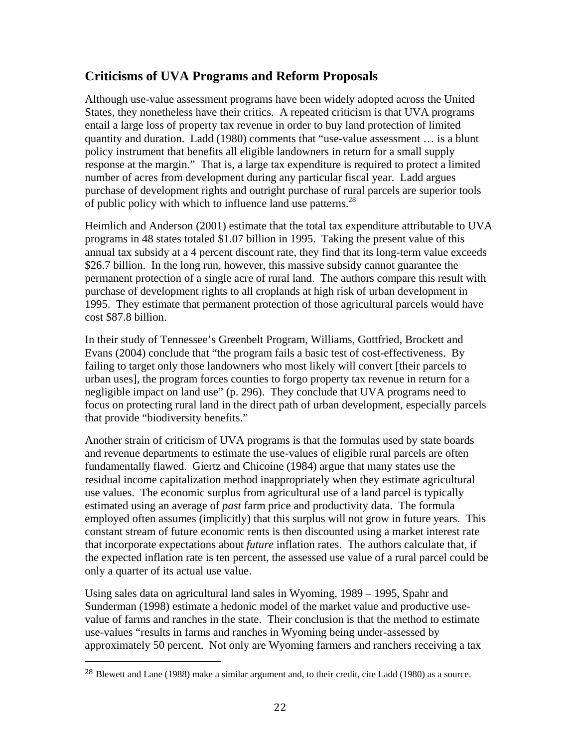# **Criticisms of UVA Programs and Reform Proposals**

Although use-value assessment programs have been widely adopted across the United States, they nonetheless have their critics. A repeated criticism is that UVA programs entail a large loss of property tax revenue in order to buy land protection of limited quantity and duration. Ladd (1980) comments that "use-value assessment … is a blunt policy instrument that benefits all eligible landowners in return for a small supply response at the margin." That is, a large tax expenditure is required to protect a limited number of acres from development during any particular fiscal year. Ladd argues purchase of development rights and outright purchase of rural parcels are superior tools of public policy with which to influence land use patterns.<sup>28</sup>

Heimlich and Anderson (2001) estimate that the total tax expenditure attributable to UVA programs in 48 states totaled \$1.07 billion in 1995. Taking the present value of this annual tax subsidy at a 4 percent discount rate, they find that its long-term value exceeds \$26.7 billion. In the long run, however, this massive subsidy cannot guarantee the permanent protection of a single acre of rural land. The authors compare this result with purchase of development rights to all croplands at high risk of urban development in 1995. They estimate that permanent protection of those agricultural parcels would have cost \$87.8 billion.

In their study of Tennessee's Greenbelt Program, Williams, Gottfried, Brockett and Evans (2004) conclude that "the program fails a basic test of cost-effectiveness. By failing to target only those landowners who most likely will convert [their parcels to urban uses], the program forces counties to forgo property tax revenue in return for a negligible impact on land use" (p. 296). They conclude that UVA programs need to focus on protecting rural land in the direct path of urban development, especially parcels that provide "biodiversity benefits."

Another strain of criticism of UVA programs is that the formulas used by state boards and revenue departments to estimate the use-values of eligible rural parcels are often fundamentally flawed. Giertz and Chicoine (1984) argue that many states use the residual income capitalization method inappropriately when they estimate agricultural use values. The economic surplus from agricultural use of a land parcel is typically estimated using an average of *past* farm price and productivity data. The formula employed often assumes (implicitly) that this surplus will not grow in future years. This constant stream of future economic rents is then discounted using a market interest rate that incorporate expectations about *future* inflation rates. The authors calculate that, if the expected inflation rate is ten percent, the assessed use value of a rural parcel could be only a quarter of its actual use value.

Using sales data on agricultural land sales in Wyoming, 1989 – 1995, Spahr and Sunderman (1998) estimate a hedonic model of the market value and productive usevalue of farms and ranches in the state. Their conclusion is that the method to estimate use-values "results in farms and ranches in Wyoming being under-assessed by approximately 50 percent. Not only are Wyoming farmers and ranchers receiving a tax

<sup>28</sup> Blewett and Lane (1988) make a similar argument and, to their credit, cite Ladd (1980) as a source.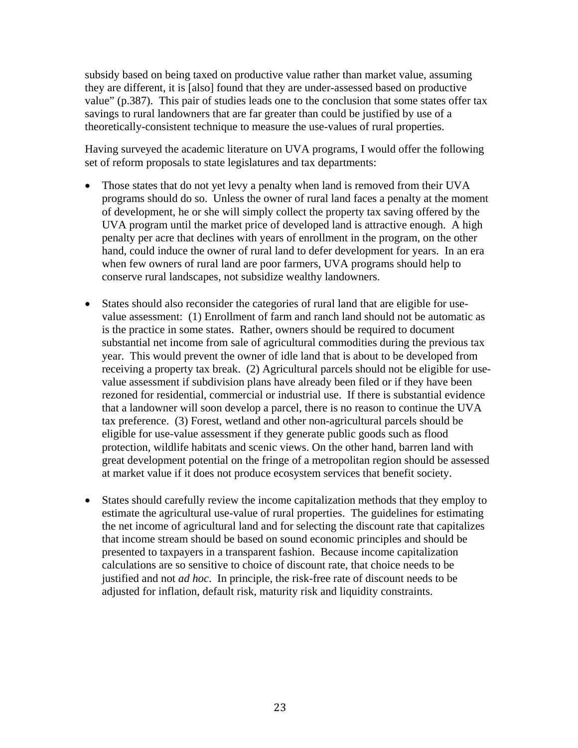subsidy based on being taxed on productive value rather than market value, assuming they are different, it is [also] found that they are under-assessed based on productive value" (p.387). This pair of studies leads one to the conclusion that some states offer tax savings to rural landowners that are far greater than could be justified by use of a theoretically-consistent technique to measure the use-values of rural properties.

Having surveyed the academic literature on UVA programs, I would offer the following set of reform proposals to state legislatures and tax departments:

- Those states that do not yet levy a penalty when land is removed from their UVA programs should do so. Unless the owner of rural land faces a penalty at the moment of development, he or she will simply collect the property tax saving offered by the UVA program until the market price of developed land is attractive enough. A high penalty per acre that declines with years of enrollment in the program, on the other hand, could induce the owner of rural land to defer development for years. In an era when few owners of rural land are poor farmers, UVA programs should help to conserve rural landscapes, not subsidize wealthy landowners.
- States should also reconsider the categories of rural land that are eligible for usevalue assessment: (1) Enrollment of farm and ranch land should not be automatic as is the practice in some states. Rather, owners should be required to document substantial net income from sale of agricultural commodities during the previous tax year. This would prevent the owner of idle land that is about to be developed from receiving a property tax break. (2) Agricultural parcels should not be eligible for usevalue assessment if subdivision plans have already been filed or if they have been rezoned for residential, commercial or industrial use. If there is substantial evidence that a landowner will soon develop a parcel, there is no reason to continue the UVA tax preference. (3) Forest, wetland and other non-agricultural parcels should be eligible for use-value assessment if they generate public goods such as flood protection, wildlife habitats and scenic views. On the other hand, barren land with great development potential on the fringe of a metropolitan region should be assessed at market value if it does not produce ecosystem services that benefit society.
- States should carefully review the income capitalization methods that they employ to estimate the agricultural use-value of rural properties. The guidelines for estimating the net income of agricultural land and for selecting the discount rate that capitalizes that income stream should be based on sound economic principles and should be presented to taxpayers in a transparent fashion. Because income capitalization calculations are so sensitive to choice of discount rate, that choice needs to be justified and not *ad hoc*. In principle, the risk-free rate of discount needs to be adjusted for inflation, default risk, maturity risk and liquidity constraints.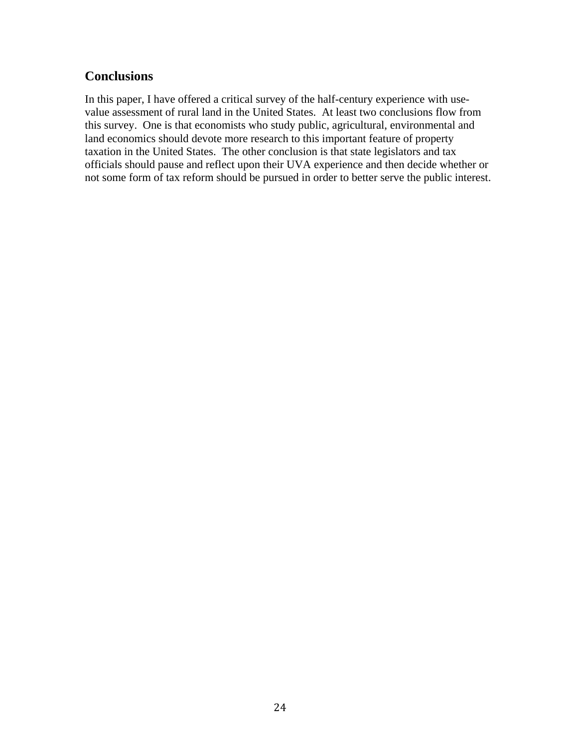# **Conclusions**

In this paper, I have offered a critical survey of the half-century experience with usevalue assessment of rural land in the United States. At least two conclusions flow from this survey. One is that economists who study public, agricultural, environmental and land economics should devote more research to this important feature of property taxation in the United States. The other conclusion is that state legislators and tax officials should pause and reflect upon their UVA experience and then decide whether or not some form of tax reform should be pursued in order to better serve the public interest.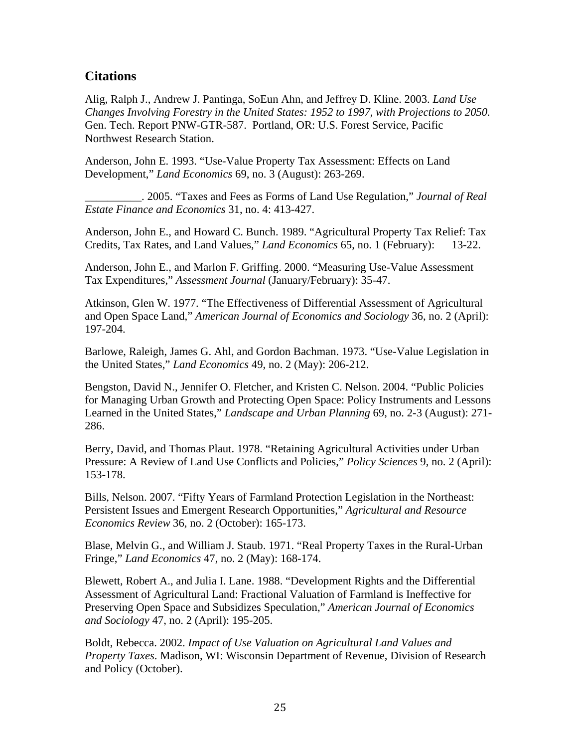### **Citations**

Alig, Ralph J., Andrew J. Pantinga, SoEun Ahn, and Jeffrey D. Kline. 2003. *Land Use Changes Involving Forestry in the United States: 1952 to 1997, with Projections to 2050.* Gen. Tech. Report PNW-GTR-587. Portland, OR: U.S. Forest Service, Pacific Northwest Research Station.

Anderson, John E. 1993. "Use-Value Property Tax Assessment: Effects on Land Development," *Land Economics* 69, no. 3 (August): 263-269.

\_\_\_\_\_\_\_\_\_\_. 2005. "Taxes and Fees as Forms of Land Use Regulation," *Journal of Real Estate Finance and Economics* 31, no. 4: 413-427.

Anderson, John E., and Howard C. Bunch. 1989. "Agricultural Property Tax Relief: Tax Credits, Tax Rates, and Land Values," *Land Economics* 65, no. 1 (February): 13-22.

Anderson, John E., and Marlon F. Griffing. 2000. "Measuring Use-Value Assessment Tax Expenditures," *Assessment Journal* (January/February): 35-47.

Atkinson, Glen W. 1977. "The Effectiveness of Differential Assessment of Agricultural and Open Space Land," *American Journal of Economics and Sociology* 36, no. 2 (April): 197-204.

Barlowe, Raleigh, James G. Ahl, and Gordon Bachman. 1973. "Use-Value Legislation in the United States," *Land Economics* 49, no. 2 (May): 206-212.

Bengston, David N., Jennifer O. Fletcher, and Kristen C. Nelson. 2004. "Public Policies for Managing Urban Growth and Protecting Open Space: Policy Instruments and Lessons Learned in the United States," *Landscape and Urban Planning* 69, no. 2-3 (August): 271- 286.

Berry, David, and Thomas Plaut. 1978. "Retaining Agricultural Activities under Urban Pressure: A Review of Land Use Conflicts and Policies," *Policy Sciences* 9, no. 2 (April): 153-178.

Bills, Nelson. 2007. "Fifty Years of Farmland Protection Legislation in the Northeast: Persistent Issues and Emergent Research Opportunities," *Agricultural and Resource Economics Review* 36, no. 2 (October): 165-173.

Blase, Melvin G., and William J. Staub. 1971. "Real Property Taxes in the Rural-Urban Fringe," *Land Economics* 47, no. 2 (May): 168-174.

Blewett, Robert A., and Julia I. Lane. 1988. "Development Rights and the Differential Assessment of Agricultural Land: Fractional Valuation of Farmland is Ineffective for Preserving Open Space and Subsidizes Speculation," *American Journal of Economics and Sociology* 47, no. 2 (April): 195-205.

Boldt, Rebecca. 2002. *Impact of Use Valuation on Agricultural Land Values and Property Taxes*. Madison, WI: Wisconsin Department of Revenue, Division of Research and Policy (October).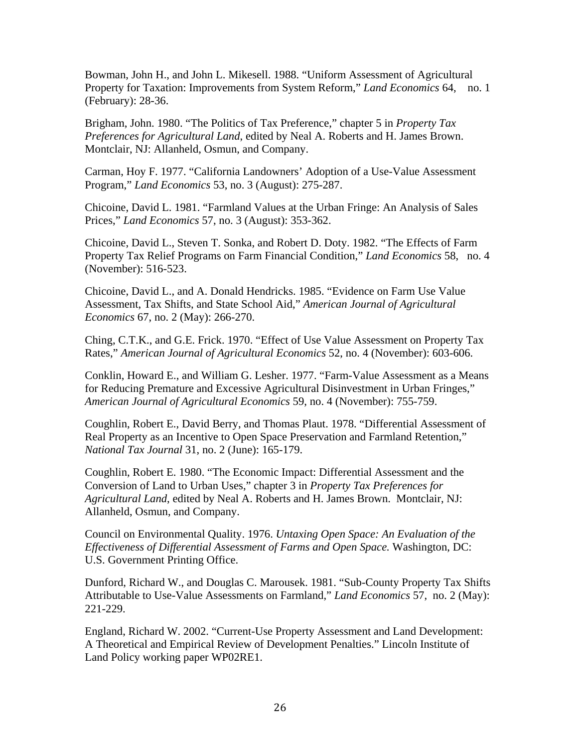Bowman, John H., and John L. Mikesell. 1988. "Uniform Assessment of Agricultural Property for Taxation: Improvements from System Reform," *Land Economics* 64, no. 1 (February): 28-36.

Brigham, John. 1980. "The Politics of Tax Preference," chapter 5 in *Property Tax Preferences for Agricultural Land*, edited by Neal A. Roberts and H. James Brown. Montclair, NJ: Allanheld, Osmun, and Company.

Carman, Hoy F. 1977. "California Landowners' Adoption of a Use-Value Assessment Program," *Land Economics* 53, no. 3 (August): 275-287.

Chicoine, David L. 1981. "Farmland Values at the Urban Fringe: An Analysis of Sales Prices," *Land Economics* 57, no. 3 (August): 353-362.

Chicoine, David L., Steven T. Sonka, and Robert D. Doty. 1982. "The Effects of Farm Property Tax Relief Programs on Farm Financial Condition," *Land Economics* 58, no. 4 (November): 516-523.

Chicoine, David L., and A. Donald Hendricks. 1985. "Evidence on Farm Use Value Assessment, Tax Shifts, and State School Aid," *American Journal of Agricultural Economics* 67, no. 2 (May): 266-270.

Ching, C.T.K., and G.E. Frick. 1970. "Effect of Use Value Assessment on Property Tax Rates," *American Journal of Agricultural Economics* 52, no. 4 (November): 603-606.

Conklin, Howard E., and William G. Lesher. 1977. "Farm-Value Assessment as a Means for Reducing Premature and Excessive Agricultural Disinvestment in Urban Fringes," *American Journal of Agricultural Economics* 59, no. 4 (November): 755-759.

Coughlin, Robert E., David Berry, and Thomas Plaut. 1978. "Differential Assessment of Real Property as an Incentive to Open Space Preservation and Farmland Retention," *National Tax Journal* 31, no. 2 (June): 165-179.

Coughlin, Robert E. 1980. "The Economic Impact: Differential Assessment and the Conversion of Land to Urban Uses," chapter 3 in *Property Tax Preferences for Agricultural Land*, edited by Neal A. Roberts and H. James Brown. Montclair, NJ: Allanheld, Osmun, and Company.

Council on Environmental Quality. 1976. *Untaxing Open Space: An Evaluation of the Effectiveness of Differential Assessment of Farms and Open Space.* Washington, DC: U.S. Government Printing Office.

Dunford, Richard W., and Douglas C. Marousek. 1981. "Sub-County Property Tax Shifts Attributable to Use-Value Assessments on Farmland," *Land Economics* 57, no. 2 (May): 221-229.

England, Richard W. 2002. "Current-Use Property Assessment and Land Development: A Theoretical and Empirical Review of Development Penalties." Lincoln Institute of Land Policy working paper WP02RE1.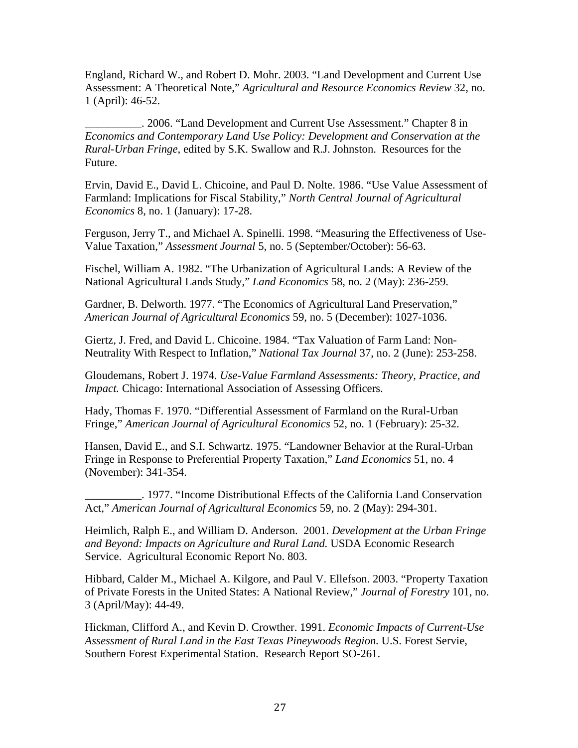England, Richard W., and Robert D. Mohr. 2003. "Land Development and Current Use Assessment: A Theoretical Note," *Agricultural and Resource Economics Review* 32, no. 1 (April): 46-52.

\_\_\_\_\_\_\_\_\_\_. 2006. "Land Development and Current Use Assessment." Chapter 8 in *Economics and Contemporary Land Use Policy: Development and Conservation at the Rural-Urban Fringe*, edited by S.K. Swallow and R.J. Johnston. Resources for the Future.

Ervin, David E., David L. Chicoine, and Paul D. Nolte. 1986. "Use Value Assessment of Farmland: Implications for Fiscal Stability," *North Central Journal of Agricultural Economics* 8, no. 1 (January): 17-28.

Ferguson, Jerry T., and Michael A. Spinelli. 1998. "Measuring the Effectiveness of Use-Value Taxation," *Assessment Journal* 5, no. 5 (September/October): 56-63.

Fischel, William A. 1982. "The Urbanization of Agricultural Lands: A Review of the National Agricultural Lands Study," *Land Economics* 58, no. 2 (May): 236-259.

Gardner, B. Delworth. 1977. "The Economics of Agricultural Land Preservation," *American Journal of Agricultural Economics* 59, no. 5 (December): 1027-1036.

Giertz, J. Fred, and David L. Chicoine. 1984. "Tax Valuation of Farm Land: Non-Neutrality With Respect to Inflation," *National Tax Journal* 37, no. 2 (June): 253-258.

Gloudemans, Robert J. 1974. *Use-Value Farmland Assessments: Theory, Practice, and Impact.* Chicago: International Association of Assessing Officers.

Hady, Thomas F. 1970. "Differential Assessment of Farmland on the Rural-Urban Fringe," *American Journal of Agricultural Economics* 52, no. 1 (February): 25-32.

Hansen, David E., and S.I. Schwartz. 1975. "Landowner Behavior at the Rural-Urban Fringe in Response to Preferential Property Taxation," *Land Economics* 51, no. 4 (November): 341-354.

\_\_\_\_\_\_\_\_\_\_. 1977. "Income Distributional Effects of the California Land Conservation Act," *American Journal of Agricultural Economics* 59, no. 2 (May): 294-301.

Heimlich, Ralph E., and William D. Anderson. 2001. *Development at the Urban Fringe and Beyond: Impacts on Agriculture and Rural Land.* USDA Economic Research Service. Agricultural Economic Report No. 803.

Hibbard, Calder M., Michael A. Kilgore, and Paul V. Ellefson. 2003. "Property Taxation of Private Forests in the United States: A National Review," *Journal of Forestry* 101, no. 3 (April/May): 44-49.

Hickman, Clifford A., and Kevin D. Crowther. 1991. *Economic Impacts of Current-Use Assessment of Rural Land in the East Texas Pineywoods Region.* U.S. Forest Servie, Southern Forest Experimental Station. Research Report SO-261.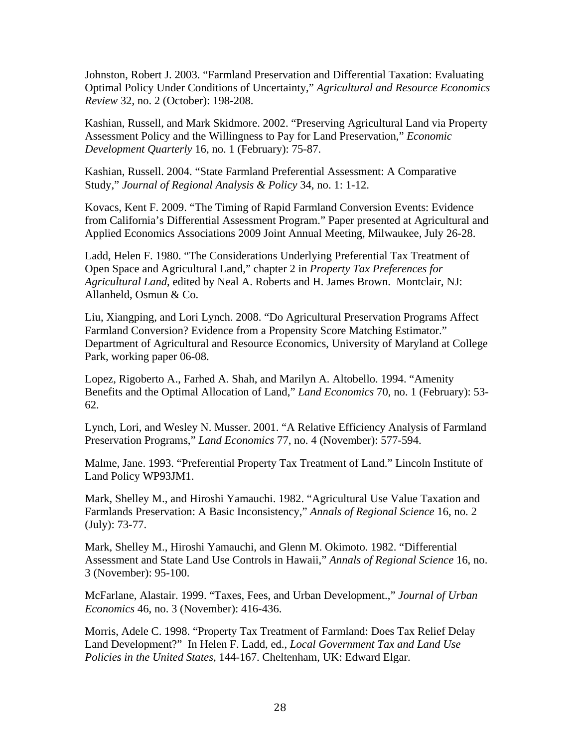Johnston, Robert J. 2003. "Farmland Preservation and Differential Taxation: Evaluating Optimal Policy Under Conditions of Uncertainty," *Agricultural and Resource Economics Review* 32, no. 2 (October): 198-208.

Kashian, Russell, and Mark Skidmore. 2002. "Preserving Agricultural Land via Property Assessment Policy and the Willingness to Pay for Land Preservation," *Economic Development Quarterly* 16, no. 1 (February): 75-87.

Kashian, Russell. 2004. "State Farmland Preferential Assessment: A Comparative Study," *Journal of Regional Analysis & Policy* 34, no. 1: 1-12.

Kovacs, Kent F. 2009. "The Timing of Rapid Farmland Conversion Events: Evidence from California's Differential Assessment Program." Paper presented at Agricultural and Applied Economics Associations 2009 Joint Annual Meeting, Milwaukee, July 26-28.

Ladd, Helen F. 1980. "The Considerations Underlying Preferential Tax Treatment of Open Space and Agricultural Land," chapter 2 in *Property Tax Preferences for Agricultural Land*, edited by Neal A. Roberts and H. James Brown. Montclair, NJ: Allanheld, Osmun & Co.

Liu, Xiangping, and Lori Lynch. 2008. "Do Agricultural Preservation Programs Affect Farmland Conversion? Evidence from a Propensity Score Matching Estimator." Department of Agricultural and Resource Economics, University of Maryland at College Park, working paper 06-08.

Lopez, Rigoberto A., Farhed A. Shah, and Marilyn A. Altobello. 1994. "Amenity Benefits and the Optimal Allocation of Land," *Land Economics* 70, no. 1 (February): 53- 62.

Lynch, Lori, and Wesley N. Musser. 2001. "A Relative Efficiency Analysis of Farmland Preservation Programs," *Land Economics* 77, no. 4 (November): 577-594.

Malme, Jane. 1993. "Preferential Property Tax Treatment of Land." Lincoln Institute of Land Policy WP93JM1.

Mark, Shelley M., and Hiroshi Yamauchi. 1982. "Agricultural Use Value Taxation and Farmlands Preservation: A Basic Inconsistency," *Annals of Regional Science* 16, no. 2 (July): 73-77.

Mark, Shelley M., Hiroshi Yamauchi, and Glenn M. Okimoto. 1982. "Differential Assessment and State Land Use Controls in Hawaii," *Annals of Regional Science* 16, no. 3 (November): 95-100.

McFarlane, Alastair. 1999. "Taxes, Fees, and Urban Development.," *Journal of Urban Economics* 46, no. 3 (November): 416-436.

Morris, Adele C. 1998. "Property Tax Treatment of Farmland: Does Tax Relief Delay Land Development?" In Helen F. Ladd, ed., *Local Government Tax and Land Use Policies in the United States*, 144-167. Cheltenham, UK: Edward Elgar.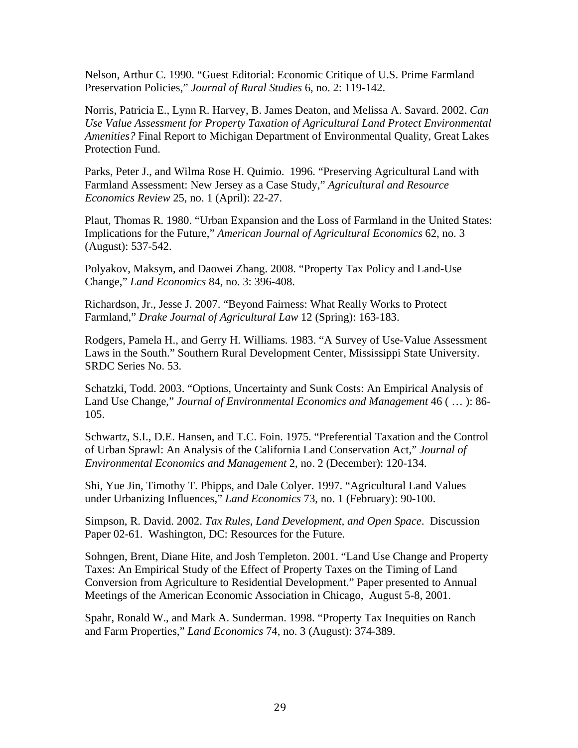Nelson, Arthur C. 1990. "Guest Editorial: Economic Critique of U.S. Prime Farmland Preservation Policies," *Journal of Rural Studies* 6, no. 2: 119-142.

Norris, Patricia E., Lynn R. Harvey, B. James Deaton, and Melissa A. Savard. 2002. *Can Use Value Assessment for Property Taxation of Agricultural Land Protect Environmental Amenities?* Final Report to Michigan Department of Environmental Quality, Great Lakes Protection Fund.

Parks, Peter J., and Wilma Rose H. Quimio. 1996. "Preserving Agricultural Land with Farmland Assessment: New Jersey as a Case Study," *Agricultural and Resource Economics Review* 25, no. 1 (April): 22-27.

Plaut, Thomas R. 1980. "Urban Expansion and the Loss of Farmland in the United States: Implications for the Future," *American Journal of Agricultural Economics* 62, no. 3 (August): 537-542.

Polyakov, Maksym, and Daowei Zhang. 2008. "Property Tax Policy and Land-Use Change," *Land Economics* 84, no. 3: 396-408.

Richardson, Jr., Jesse J. 2007. "Beyond Fairness: What Really Works to Protect Farmland," *Drake Journal of Agricultural Law* 12 (Spring): 163-183.

Rodgers, Pamela H., and Gerry H. Williams. 1983. "A Survey of Use-Value Assessment Laws in the South." Southern Rural Development Center, Mississippi State University. SRDC Series No. 53.

Schatzki, Todd. 2003. "Options, Uncertainty and Sunk Costs: An Empirical Analysis of Land Use Change," *Journal of Environmental Economics and Management* 46 ( … ): 86- 105.

Schwartz, S.I., D.E. Hansen, and T.C. Foin. 1975. "Preferential Taxation and the Control of Urban Sprawl: An Analysis of the California Land Conservation Act," *Journal of Environmental Economics and Management* 2, no. 2 (December): 120-134.

Shi, Yue Jin, Timothy T. Phipps, and Dale Colyer. 1997. "Agricultural Land Values under Urbanizing Influences," *Land Economics* 73, no. 1 (February): 90-100.

Simpson, R. David. 2002. *Tax Rules, Land Development, and Open Space*. Discussion Paper 02-61. Washington, DC: Resources for the Future.

Sohngen, Brent, Diane Hite, and Josh Templeton. 2001. "Land Use Change and Property Taxes: An Empirical Study of the Effect of Property Taxes on the Timing of Land Conversion from Agriculture to Residential Development." Paper presented to Annual Meetings of the American Economic Association in Chicago, August 5-8, 2001.

Spahr, Ronald W., and Mark A. Sunderman. 1998. "Property Tax Inequities on Ranch and Farm Properties," *Land Economics* 74, no. 3 (August): 374-389.